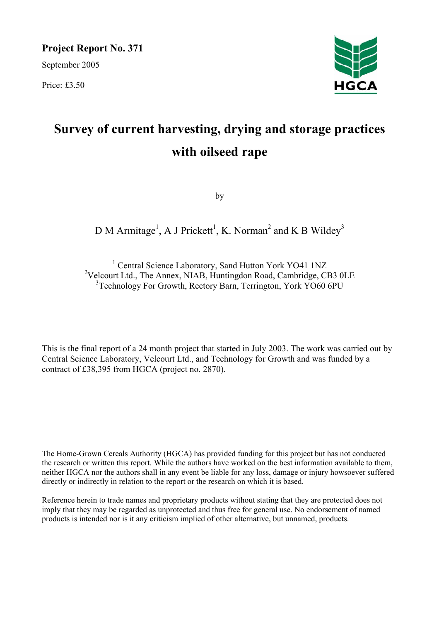**Project Report No. 371**

September 2005

Price: £3.50



# **Survey of current harvesting, drying and storage practices with oilseed rape**

by

# D M Armitage<sup>1</sup>, A J Prickett<sup>1</sup>, K. Norman<sup>2</sup> and K B Wildey<sup>3</sup>

<sup>1</sup> Central Science Laboratory, Sand Hutton York YO41 1NZ <sup>2</sup>Velcourt Ltd., The Annex, NIAB, Huntingdon Road, Cambridge, CB3 0LE <sup>3</sup>Technology For Growth, Rectory Barn, Terrington, York YO60 6PU

This is the final report of a 24 month project that started in July 2003. The work was carried out by Central Science Laboratory, Velcourt Ltd., and Technology for Growth and was funded by a contract of £38,395 from HGCA (project no. 2870).

The Home-Grown Cereals Authority (HGCA) has provided funding for this project but has not conducted the research or written this report. While the authors have worked on the best information available to them, neither HGCA nor the authors shall in any event be liable for any loss, damage or injury howsoever suffered directly or indirectly in relation to the report or the research on which it is based.

Reference herein to trade names and proprietary products without stating that they are protected does not imply that they may be regarded as unprotected and thus free for general use. No endorsement of named products is intended nor is it any criticism implied of other alternative, but unnamed, products.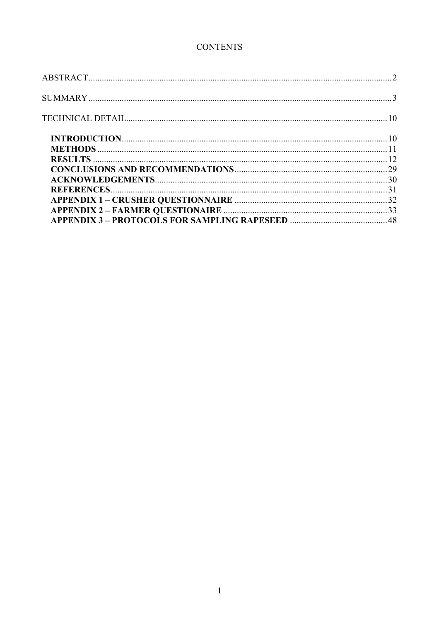# **CONTENTS**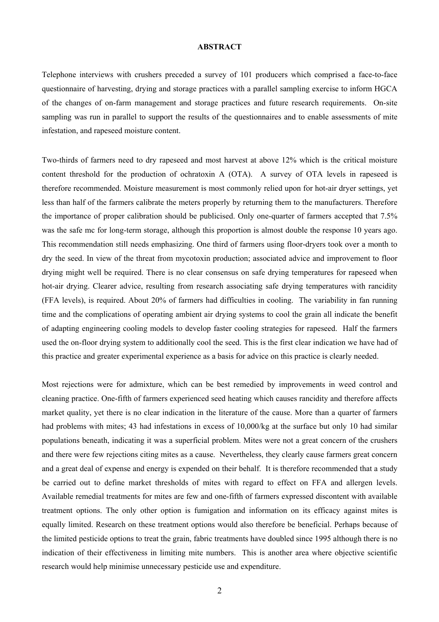### **ABSTRACT**

Telephone interviews with crushers preceded a survey of 101 producers which comprised a face-to-face questionnaire of harvesting, drying and storage practices with a parallel sampling exercise to inform HGCA of the changes of on-farm management and storage practices and future research requirements. On-site sampling was run in parallel to support the results of the questionnaires and to enable assessments of mite infestation, and rapeseed moisture content.

Two-thirds of farmers need to dry rapeseed and most harvest at above 12% which is the critical moisture content threshold for the production of ochratoxin A (OTA). A survey of OTA levels in rapeseed is therefore recommended. Moisture measurement is most commonly relied upon for hot-air dryer settings, yet less than half of the farmers calibrate the meters properly by returning them to the manufacturers. Therefore the importance of proper calibration should be publicised. Only one-quarter of farmers accepted that 7.5% was the safe mc for long-term storage, although this proportion is almost double the response 10 years ago. This recommendation still needs emphasizing. One third of farmers using floor-dryers took over a month to dry the seed. In view of the threat from mycotoxin production; associated advice and improvement to floor drying might well be required. There is no clear consensus on safe drying temperatures for rapeseed when hot-air drying. Clearer advice, resulting from research associating safe drying temperatures with rancidity (FFA levels), is required. About 20% of farmers had difficulties in cooling. The variability in fan running time and the complications of operating ambient air drying systems to cool the grain all indicate the benefit of adapting engineering cooling models to develop faster cooling strategies for rapeseed. Half the farmers used the on-floor drying system to additionally cool the seed. This is the first clear indication we have had of this practice and greater experimental experience as a basis for advice on this practice is clearly needed.

Most rejections were for admixture, which can be best remedied by improvements in weed control and cleaning practice. One-fifth of farmers experienced seed heating which causes rancidity and therefore affects market quality, yet there is no clear indication in the literature of the cause. More than a quarter of farmers had problems with mites; 43 had infestations in excess of 10,000/kg at the surface but only 10 had similar populations beneath, indicating it was a superficial problem. Mites were not a great concern of the crushers and there were few rejections citing mites as a cause. Nevertheless, they clearly cause farmers great concern and a great deal of expense and energy is expended on their behalf. It is therefore recommended that a study be carried out to define market thresholds of mites with regard to effect on FFA and allergen levels. Available remedial treatments for mites are few and one-fifth of farmers expressed discontent with available treatment options. The only other option is fumigation and information on its efficacy against mites is equally limited. Research on these treatment options would also therefore be beneficial. Perhaps because of the limited pesticide options to treat the grain, fabric treatments have doubled since 1995 although there is no indication of their effectiveness in limiting mite numbers. This is another area where objective scientific research would help minimise unnecessary pesticide use and expenditure.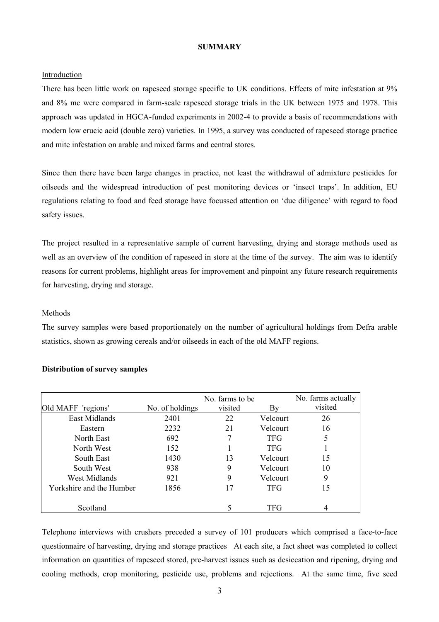### **SUMMARY**

#### Introduction

There has been little work on rapeseed storage specific to UK conditions. Effects of mite infestation at 9% and 8% mc were compared in farm-scale rapeseed storage trials in the UK between 1975 and 1978. This approach was updated in HGCA-funded experiments in 2002-4 to provide a basis of recommendations with modern low erucic acid (double zero) varieties. In 1995, a survey was conducted of rapeseed storage practice and mite infestation on arable and mixed farms and central stores.

Since then there have been large changes in practice, not least the withdrawal of admixture pesticides for oilseeds and the widespread introduction of pest monitoring devices or 'insect traps'. In addition, EU regulations relating to food and feed storage have focussed attention on 'due diligence' with regard to food safety issues.

The project resulted in a representative sample of current harvesting, drying and storage methods used as well as an overview of the condition of rapeseed in store at the time of the survey. The aim was to identify reasons for current problems, highlight areas for improvement and pinpoint any future research requirements for harvesting, drying and storage.

#### Methods

The survey samples were based proportionately on the number of agricultural holdings from Defra arable statistics, shown as growing cereals and/or oilseeds in each of the old MAFF regions.

|                          |                 | No. farms to be |            | No. farms actually |
|--------------------------|-----------------|-----------------|------------|--------------------|
| Old MAFF 'regions'       | No. of holdings | visited         | By         | visited            |
| East Midlands            | 2401            | 22              | Velcourt   | 26                 |
| Eastern                  | 2232            | 21              | Velcourt   | 16                 |
| North East               | 692             | 7               | <b>TFG</b> | 5                  |
| North West               | 152             |                 | <b>TFG</b> |                    |
| South East               | 1430            | 13              | Velcourt   | 15                 |
| South West               | 938             | 9               | Velcourt   | 10                 |
| West Midlands            | 921             | 9               | Velcourt   | 9                  |
| Yorkshire and the Humber | 1856            | 17              | <b>TFG</b> | 15                 |
|                          |                 |                 |            |                    |
| Scotland                 |                 |                 | TFG        |                    |

#### **Distribution of survey samples**

Telephone interviews with crushers preceded a survey of 101 producers which comprised a face-to-face questionnaire of harvesting, drying and storage practices At each site, a fact sheet was completed to collect information on quantities of rapeseed stored, pre-harvest issues such as desiccation and ripening, drying and cooling methods, crop monitoring, pesticide use, problems and rejections. At the same time, five seed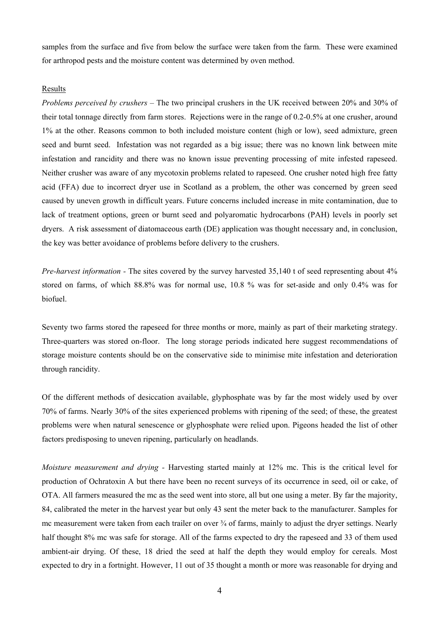samples from the surface and five from below the surface were taken from the farm. These were examined for arthropod pests and the moisture content was determined by oven method.

#### **Results**

*Problems perceived by crushers –* The two principal crushers in the UK received between 20% and 30% of their total tonnage directly from farm stores. Rejections were in the range of 0.2-0.5% at one crusher, around 1% at the other. Reasons common to both included moisture content (high or low), seed admixture, green seed and burnt seed. Infestation was not regarded as a big issue; there was no known link between mite infestation and rancidity and there was no known issue preventing processing of mite infested rapeseed. Neither crusher was aware of any mycotoxin problems related to rapeseed. One crusher noted high free fatty acid (FFA) due to incorrect dryer use in Scotland as a problem, the other was concerned by green seed caused by uneven growth in difficult years. Future concerns included increase in mite contamination, due to lack of treatment options, green or burnt seed and polyaromatic hydrocarbons (PAH) levels in poorly set dryers. A risk assessment of diatomaceous earth (DE) application was thought necessary and, in conclusion, the key was better avoidance of problems before delivery to the crushers.

*Pre-harvest information -* The sites covered by the survey harvested 35,140 t of seed representing about 4% stored on farms, of which 88.8% was for normal use, 10.8 % was for set-aside and only 0.4% was for biofuel.

Seventy two farms stored the rapeseed for three months or more, mainly as part of their marketing strategy. Three-quarters was stored on-floor. The long storage periods indicated here suggest recommendations of storage moisture contents should be on the conservative side to minimise mite infestation and deterioration through rancidity.

Of the different methods of desiccation available, glyphosphate was by far the most widely used by over 70% of farms. Nearly 30% of the sites experienced problems with ripening of the seed; of these, the greatest problems were when natural senescence or glyphosphate were relied upon. Pigeons headed the list of other factors predisposing to uneven ripening, particularly on headlands.

*Moisture measurement and drying -* Harvesting started mainly at 12% mc. This is the critical level for production of Ochratoxin A but there have been no recent surveys of its occurrence in seed, oil or cake, of OTA. All farmers measured the mc as the seed went into store, all but one using a meter. By far the majority, 84, calibrated the meter in the harvest year but only 43 sent the meter back to the manufacturer. Samples for mc measurement were taken from each trailer on over ¾ of farms, mainly to adjust the dryer settings. Nearly half thought 8% mc was safe for storage. All of the farms expected to dry the rapeseed and 33 of them used ambient-air drying. Of these, 18 dried the seed at half the depth they would employ for cereals. Most expected to dry in a fortnight. However, 11 out of 35 thought a month or more was reasonable for drying and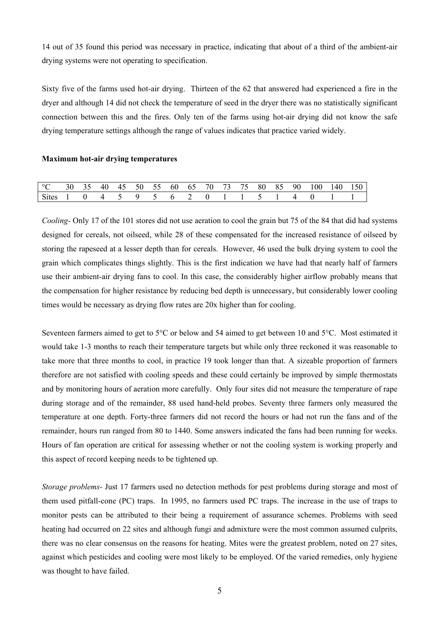14 out of 35 found this period was necessary in practice, indicating that about of a third of the ambient-air drying systems were not operating to specification.

Sixty five of the farms used hot-air drying. Thirteen of the 62 that answered had experienced a fire in the dryer and although 14 did not check the temperature of seed in the dryer there was no statistically significant connection between this and the fires. Only ten of the farms using hot-air drying did not know the safe drying temperature settings although the range of values indicates that practice varied widely.

## **Maximum hot-air drying temperatures**

| $^{\circ}C$  |  |  |      |  |  |  |  | 30 35 40 45 50 55 60 65 70 73 75 80 85 90 100 140 150 |  |
|--------------|--|--|------|--|--|--|--|-------------------------------------------------------|--|
| <b>Sites</b> |  |  | ∣ ⊌, |  |  |  |  |                                                       |  |

*Cooling-* Only 17 of the 101 stores did not use aeration to cool the grain but 75 of the 84 that did had systems designed for cereals, not oilseed, while 28 of these compensated for the increased resistance of oilseed by storing the rapeseed at a lesser depth than for cereals. However, 46 used the bulk drying system to cool the grain which complicates things slightly. This is the first indication we have had that nearly half of farmers use their ambient-air drying fans to cool. In this case, the considerably higher airflow probably means that the compensation for higher resistance by reducing bed depth is unnecessary, but considerably lower cooling times would be necessary as drying flow rates are 20x higher than for cooling.

Seventeen farmers aimed to get to 5°C or below and 54 aimed to get between 10 and 5°C. Most estimated it would take 1-3 months to reach their temperature targets but while only three reckoned it was reasonable to take more that three months to cool, in practice 19 took longer than that. A sizeable proportion of farmers therefore are not satisfied with cooling speeds and these could certainly be improved by simple thermostats and by monitoring hours of aeration more carefully. Only four sites did not measure the temperature of rape during storage and of the remainder, 88 used hand-held probes. Seventy three farmers only measured the temperature at one depth. Forty-three farmers did not record the hours or had not run the fans and of the remainder, hours run ranged from 80 to 1440. Some answers indicated the fans had been running for weeks. Hours of fan operation are critical for assessing whether or not the cooling system is working properly and this aspect of record keeping needs to be tightened up.

*Storage problems-* Just 17 farmers used no detection methods for pest problems during storage and most of them used pitfall-cone (PC) traps. In 1995, no farmers used PC traps. The increase in the use of traps to monitor pests can be attributed to their being a requirement of assurance schemes. Problems with seed heating had occurred on 22 sites and although fungi and admixture were the most common assumed culprits, there was no clear consensus on the reasons for heating. Mites were the greatest problem, noted on 27 sites, against which pesticides and cooling were most likely to be employed. Of the varied remedies, only hygiene was thought to have failed.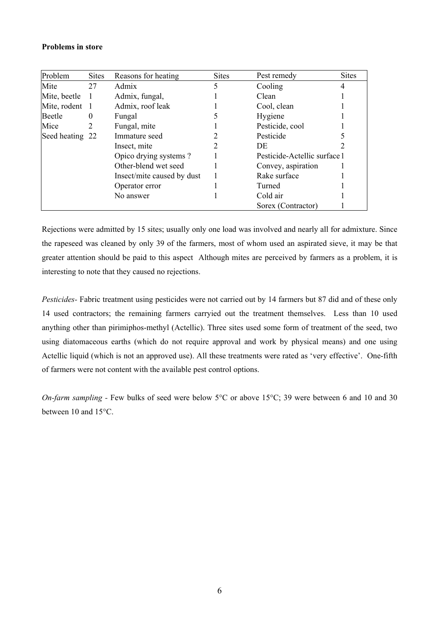## **Problems in store**

| Problem        | <b>Sites</b>                     | Reasons for heating        | <b>Sites</b> | Pest remedy                  | <b>Sites</b> |
|----------------|----------------------------------|----------------------------|--------------|------------------------------|--------------|
| Mite           | 27                               | Admix                      | 5            | Cooling                      | 4            |
| Mite, beetle   | $\mathbf{1}$                     | Admix, fungal,             |              | Clean                        |              |
| Mite, rodent 1 |                                  | Admix, roof leak           |              | Cool, clean                  |              |
| Beetle         | $\theta$                         | Fungal                     |              | Hygiene                      |              |
| Mice           | 2                                | Fungal, mite               |              | Pesticide, cool              |              |
|                | Immature seed<br>Seed heating 22 |                            |              | Pesticide                    |              |
|                |                                  | Insect, mite               | 2            | DE                           |              |
|                |                                  | Opico drying systems?      |              | Pesticide-Actellic surface 1 |              |
|                |                                  | Other-blend wet seed       |              | Convey, aspiration           |              |
|                |                                  | Insect/mite caused by dust |              | Rake surface                 |              |
|                |                                  | Operator error             |              | Turned                       |              |
|                |                                  | No answer                  |              | Cold air                     |              |
|                |                                  |                            |              | Sorex (Contractor)           |              |

Rejections were admitted by 15 sites; usually only one load was involved and nearly all for admixture. Since the rapeseed was cleaned by only 39 of the farmers, most of whom used an aspirated sieve, it may be that greater attention should be paid to this aspect Although mites are perceived by farmers as a problem, it is interesting to note that they caused no rejections.

*Pesticides*- Fabric treatment using pesticides were not carried out by 14 farmers but 87 did and of these only 14 used contractors; the remaining farmers carryied out the treatment themselves. Less than 10 used anything other than pirimiphos-methyl (Actellic). Three sites used some form of treatment of the seed, two using diatomaceous earths (which do not require approval and work by physical means) and one using Actellic liquid (which is not an approved use). All these treatments were rated as 'very effective'. One-fifth of farmers were not content with the available pest control options.

*On-farm sampling - Few bulks of seed were below 5<sup>o</sup>C or above 15<sup>o</sup>C; 39 were between 6 and 10 and 30* between 10 and 15°C.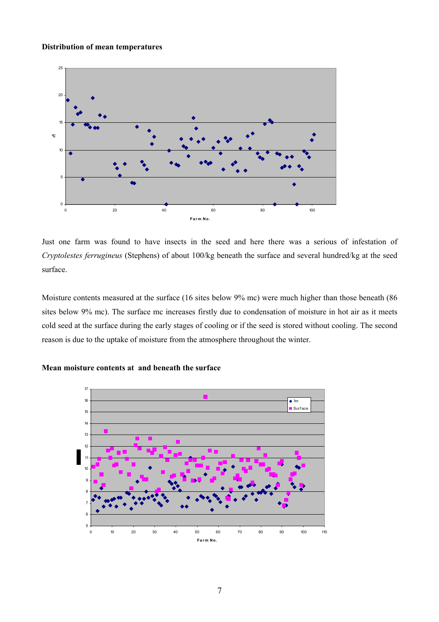## **Distribution of mean temperatures**



Just one farm was found to have insects in the seed and here there was a serious of infestation of *Cryptolestes ferrugineus* (Stephens) of about 100/kg beneath the surface and several hundred/kg at the seed surface.

Moisture contents measured at the surface (16 sites below 9% mc) were much higher than those beneath (86 sites below 9% mc). The surface mc increases firstly due to condensation of moisture in hot air as it meets cold seed at the surface during the early stages of cooling or if the seed is stored without cooling. The second reason is due to the uptake of moisture from the atmosphere throughout the winter.



# **Mean moisture contents at and beneath the surface**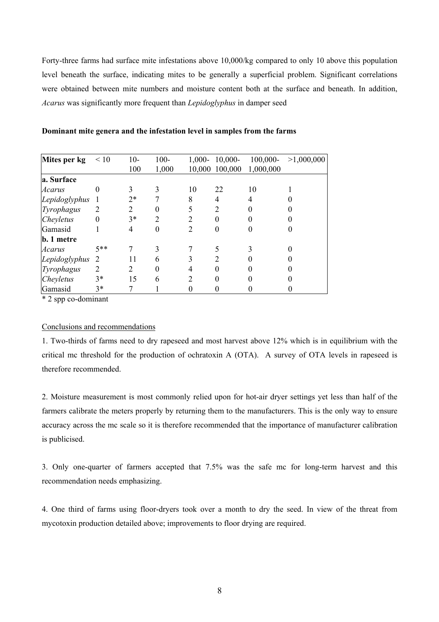Forty-three farms had surface mite infestations above 10,000/kg compared to only 10 above this population level beneath the surface, indicating mites to be generally a superficial problem. Significant correlations were obtained between mite numbers and moisture content both at the surface and beneath. In addition, *Acarus* was significantly more frequent than *Lepidoglyphus* in damper seed

| Mites per kg    | $\leq 10$        | $10-$ | $100 -$ |                | $1,000 - 10,000 -$ | $100,000-$ | >1,000,000 |
|-----------------|------------------|-------|---------|----------------|--------------------|------------|------------|
|                 |                  | 100   | 1,000   |                | 10,000 100,000     | 1,000,000  |            |
| a. Surface      |                  |       |         |                |                    |            |            |
| Acarus          | $\theta$         |       |         | 10             | 22                 | 10         |            |
| Lepidoglyphus   |                  | $2*$  |         | 8              | 4                  | 4          |            |
| Tyrophagus      |                  | 2     | 0       | 5              | $\overline{2}$     |            |            |
| Cheyletus       | $\boldsymbol{0}$ | $3*$  | 2       | 2              | 0                  |            |            |
| Gamasid         |                  | 4     | 0       | $\mathfrak{D}$ | 0                  |            |            |
| b. 1 metre      |                  |       |         |                |                    |            |            |
| Acarus          | $5**$            |       | 3       |                |                    |            |            |
| Lepidoglyphus 2 |                  | 11    | 6       |                | 2                  |            |            |
| Tyrophagus      | 2                | 2     | 0       | 4              | 0                  |            |            |
| Cheyletus       | $3*$             | 15    | 6       | $\overline{2}$ | O                  |            |            |
| Gamasid         | $3*$             |       |         |                |                    |            |            |

#### **Dominant mite genera and the infestation level in samples from the farms**

\* 2 spp co-dominant

#### Conclusions and recommendations

1. Two-thirds of farms need to dry rapeseed and most harvest above 12% which is in equilibrium with the critical mc threshold for the production of ochratoxin A (OTA). A survey of OTA levels in rapeseed is therefore recommended.

2. Moisture measurement is most commonly relied upon for hot-air dryer settings yet less than half of the farmers calibrate the meters properly by returning them to the manufacturers. This is the only way to ensure accuracy across the mc scale so it is therefore recommended that the importance of manufacturer calibration is publicised.

3. Only one-quarter of farmers accepted that 7.5% was the safe mc for long-term harvest and this recommendation needs emphasizing.

4. One third of farms using floor-dryers took over a month to dry the seed. In view of the threat from mycotoxin production detailed above; improvements to floor drying are required.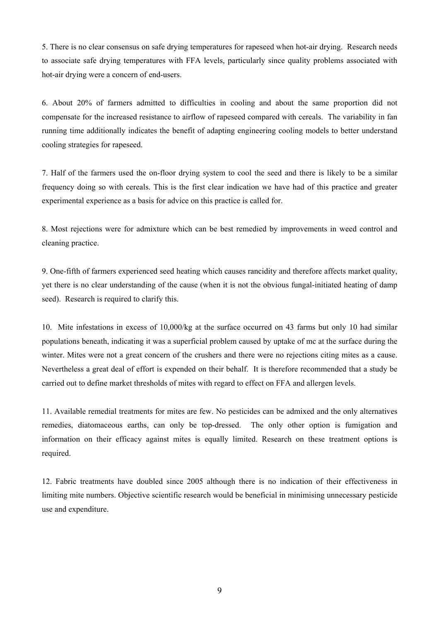5. There is no clear consensus on safe drying temperatures for rapeseed when hot-air drying. Research needs to associate safe drying temperatures with FFA levels, particularly since quality problems associated with hot-air drying were a concern of end-users.

6. About 20% of farmers admitted to difficulties in cooling and about the same proportion did not compensate for the increased resistance to airflow of rapeseed compared with cereals. The variability in fan running time additionally indicates the benefit of adapting engineering cooling models to better understand cooling strategies for rapeseed.

7. Half of the farmers used the on-floor drying system to cool the seed and there is likely to be a similar frequency doing so with cereals. This is the first clear indication we have had of this practice and greater experimental experience as a basis for advice on this practice is called for.

8. Most rejections were for admixture which can be best remedied by improvements in weed control and cleaning practice.

9. One-fifth of farmers experienced seed heating which causes rancidity and therefore affects market quality, yet there is no clear understanding of the cause (when it is not the obvious fungal-initiated heating of damp seed). Research is required to clarify this.

10. Mite infestations in excess of 10,000/kg at the surface occurred on 43 farms but only 10 had similar populations beneath, indicating it was a superficial problem caused by uptake of mc at the surface during the winter. Mites were not a great concern of the crushers and there were no rejections citing mites as a cause. Nevertheless a great deal of effort is expended on their behalf. It is therefore recommended that a study be carried out to define market thresholds of mites with regard to effect on FFA and allergen levels.

11. Available remedial treatments for mites are few. No pesticides can be admixed and the only alternatives remedies, diatomaceous earths, can only be top-dressed. The only other option is fumigation and information on their efficacy against mites is equally limited. Research on these treatment options is required.

12. Fabric treatments have doubled since 2005 although there is no indication of their effectiveness in limiting mite numbers. Objective scientific research would be beneficial in minimising unnecessary pesticide use and expenditure.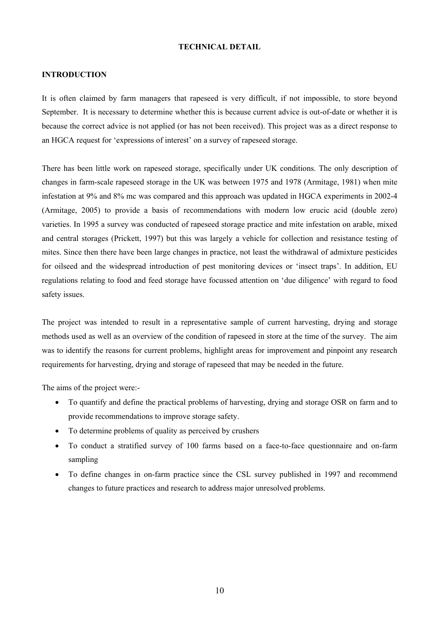## **TECHNICAL DETAIL**

#### **INTRODUCTION**

It is often claimed by farm managers that rapeseed is very difficult, if not impossible, to store beyond September. It is necessary to determine whether this is because current advice is out-of-date or whether it is because the correct advice is not applied (or has not been received). This project was as a direct response to an HGCA request for 'expressions of interest' on a survey of rapeseed storage.

There has been little work on rapeseed storage, specifically under UK conditions. The only description of changes in farm-scale rapeseed storage in the UK was between 1975 and 1978 (Armitage, 1981) when mite infestation at 9% and 8% mc was compared and this approach was updated in HGCA experiments in 2002-4 (Armitage, 2005) to provide a basis of recommendations with modern low erucic acid (double zero) varieties. In 1995 a survey was conducted of rapeseed storage practice and mite infestation on arable, mixed and central storages (Prickett, 1997) but this was largely a vehicle for collection and resistance testing of mites. Since then there have been large changes in practice, not least the withdrawal of admixture pesticides for oilseed and the widespread introduction of pest monitoring devices or 'insect traps'. In addition, EU regulations relating to food and feed storage have focussed attention on 'due diligence' with regard to food safety issues.

The project was intended to result in a representative sample of current harvesting, drying and storage methods used as well as an overview of the condition of rapeseed in store at the time of the survey. The aim was to identify the reasons for current problems, highlight areas for improvement and pinpoint any research requirements for harvesting, drying and storage of rapeseed that may be needed in the future.

The aims of the project were:-

- To quantify and define the practical problems of harvesting, drying and storage OSR on farm and to provide recommendations to improve storage safety.
- To determine problems of quality as perceived by crushers
- To conduct a stratified survey of 100 farms based on a face-to-face questionnaire and on-farm sampling
- To define changes in on-farm practice since the CSL survey published in 1997 and recommend changes to future practices and research to address major unresolved problems.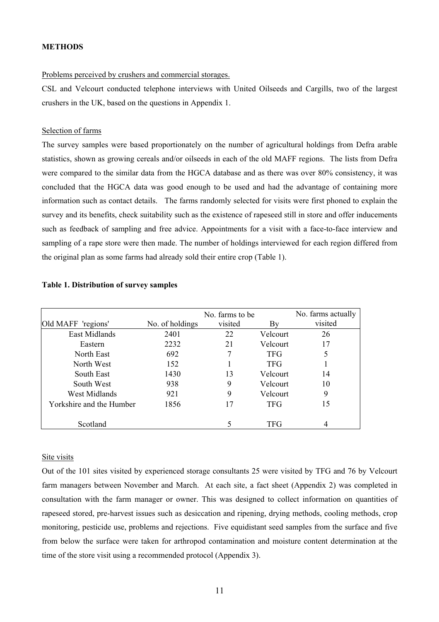## **METHODS**

#### Problems perceived by crushers and commercial storages.

CSL and Velcourt conducted telephone interviews with United Oilseeds and Cargills, two of the largest crushers in the UK, based on the questions in Appendix 1.

#### Selection of farms

The survey samples were based proportionately on the number of agricultural holdings from Defra arable statistics, shown as growing cereals and/or oilseeds in each of the old MAFF regions. The lists from Defra were compared to the similar data from the HGCA database and as there was over 80% consistency, it was concluded that the HGCA data was good enough to be used and had the advantage of containing more information such as contact details. The farms randomly selected for visits were first phoned to explain the survey and its benefits, check suitability such as the existence of rapeseed still in store and offer inducements such as feedback of sampling and free advice. Appointments for a visit with a face-to-face interview and sampling of a rape store were then made. The number of holdings interviewed for each region differed from the original plan as some farms had already sold their entire crop (Table 1).

|                          |                 | No. farms to be |            | No. farms actually |
|--------------------------|-----------------|-----------------|------------|--------------------|
| Old MAFF 'regions'       | No. of holdings | visited         | Bv         | visited            |
| East Midlands            | 2401            | 22              | Velcourt   | 26                 |
| Eastern                  | 2232            | 21              | Velcourt   | 17                 |
| North East               | 692             | 7               | <b>TFG</b> | 5                  |
| North West               | 152             |                 | <b>TFG</b> |                    |
| South East               | 1430            | 13              | Velcourt   | 14                 |
| South West               | 938             | 9               | Velcourt   | 10                 |
| <b>West Midlands</b>     | 921             | 9               | Velcourt   | 9                  |
| Yorkshire and the Humber | 1856            | 17              | <b>TFG</b> | 15                 |
|                          |                 |                 |            |                    |
| Scotland                 |                 |                 | TFG        |                    |

#### **Table 1. Distribution of survey samples**

#### Site visits

Out of the 101 sites visited by experienced storage consultants 25 were visited by TFG and 76 by Velcourt farm managers between November and March. At each site, a fact sheet (Appendix 2) was completed in consultation with the farm manager or owner. This was designed to collect information on quantities of rapeseed stored, pre-harvest issues such as desiccation and ripening, drying methods, cooling methods, crop monitoring, pesticide use, problems and rejections. Five equidistant seed samples from the surface and five from below the surface were taken for arthropod contamination and moisture content determination at the time of the store visit using a recommended protocol (Appendix 3).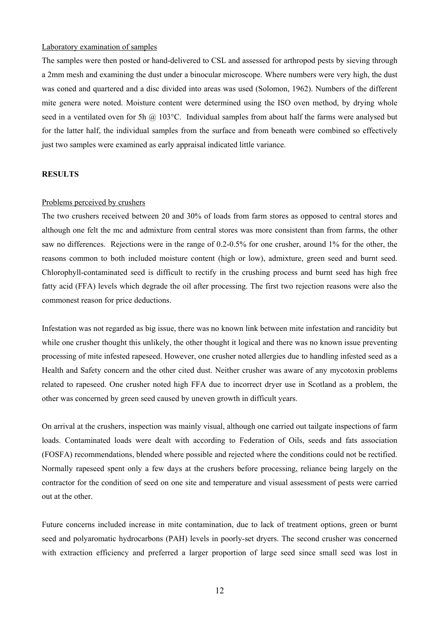## Laboratory examination of samples

The samples were then posted or hand-delivered to CSL and assessed for arthropod pests by sieving through a 2mm mesh and examining the dust under a binocular microscope. Where numbers were very high, the dust was coned and quartered and a disc divided into areas was used (Solomon, 1962). Numbers of the different mite genera were noted. Moisture content were determined using the ISO oven method, by drying whole seed in a ventilated oven for 5h @ 103°C. Individual samples from about half the farms were analysed but for the latter half, the individual samples from the surface and from beneath were combined so effectively just two samples were examined as early appraisal indicated little variance.

### **RESULTS**

#### Problems perceived by crushers

The two crushers received between 20 and 30% of loads from farm stores as opposed to central stores and although one felt the mc and admixture from central stores was more consistent than from farms, the other saw no differences. Rejections were in the range of 0.2-0.5% for one crusher, around 1% for the other, the reasons common to both included moisture content (high or low), admixture, green seed and burnt seed. Chlorophyll-contaminated seed is difficult to rectify in the crushing process and burnt seed has high free fatty acid (FFA) levels which degrade the oil after processing. The first two rejection reasons were also the commonest reason for price deductions.

Infestation was not regarded as big issue, there was no known link between mite infestation and rancidity but while one crusher thought this unlikely, the other thought it logical and there was no known issue preventing processing of mite infested rapeseed. However, one crusher noted allergies due to handling infested seed as a Health and Safety concern and the other cited dust. Neither crusher was aware of any mycotoxin problems related to rapeseed. One crusher noted high FFA due to incorrect dryer use in Scotland as a problem, the other was concerned by green seed caused by uneven growth in difficult years.

On arrival at the crushers, inspection was mainly visual, although one carried out tailgate inspections of farm loads. Contaminated loads were dealt with according to Federation of Oils, seeds and fats association (FOSFA) recommendations, blended where possible and rejected where the conditions could not be rectified. Normally rapeseed spent only a few days at the crushers before processing, reliance being largely on the contractor for the condition of seed on one site and temperature and visual assessment of pests were carried out at the other.

Future concerns included increase in mite contamination, due to lack of treatment options, green or burnt seed and polyaromatic hydrocarbons (PAH) levels in poorly-set dryers. The second crusher was concerned with extraction efficiency and preferred a larger proportion of large seed since small seed was lost in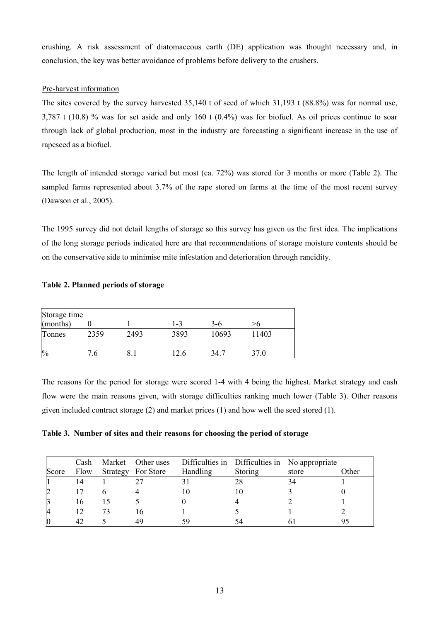crushing. A risk assessment of diatomaceous earth (DE) application was thought necessary and, in conclusion, the key was better avoidance of problems before delivery to the crushers.

# Pre-harvest information

The sites covered by the survey harvested 35,140 t of seed of which 31,193 t (88.8%) was for normal use, 3,787 t (10.8) % was for set aside and only 160 t (0.4%) was for biofuel. As oil prices continue to soar through lack of global production, most in the industry are forecasting a significant increase in the use of rapeseed as a biofuel.

The length of intended storage varied but most (ca. 72%) was stored for 3 months or more (Table 2). The sampled farms represented about 3.7% of the rape stored on farms at the time of the most recent survey (Dawson et al., 2005).

The 1995 survey did not detail lengths of storage so this survey has given us the first idea. The implications of the long storage periods indicated here are that recommendations of storage moisture contents should be on the conservative side to minimise mite infestation and deterioration through rancidity.

# **Table 2. Planned periods of storage**

| Storage time  |      |      |      |       |       |  |  |  |  |
|---------------|------|------|------|-------|-------|--|--|--|--|
| (months)      |      |      | 1-3  | 3-6   | >6    |  |  |  |  |
| Tonnes        | 2359 | 2493 | 3893 | 10693 | 11403 |  |  |  |  |
| $\frac{0}{0}$ | '6   |      | 12.6 | 34.7  | 37.0  |  |  |  |  |

The reasons for the period for storage were scored 1-4 with 4 being the highest. Market strategy and cash flow were the main reasons given, with storage difficulties ranking much lower (Table 3). Other reasons given included contract storage (2) and market prices (1) and how well the seed stored (1).

**Table 3. Number of sites and their reasons for choosing the period of storage** 

|       | Cash |    |                    |          |         | Market Other uses Difficulties in Difficulties in No appropriate |       |
|-------|------|----|--------------------|----------|---------|------------------------------------------------------------------|-------|
| Score | Flow |    | Strategy For Store | Handling | Storing | store                                                            | )ther |
|       | 14   |    |                    |          | 28      | 34                                                               |       |
|       | 17   |    |                    |          |         |                                                                  |       |
|       | 16   |    |                    |          |         |                                                                  |       |
|       | 12   | 73 |                    |          |         |                                                                  |       |
|       |      |    |                    | 59       | 54      |                                                                  |       |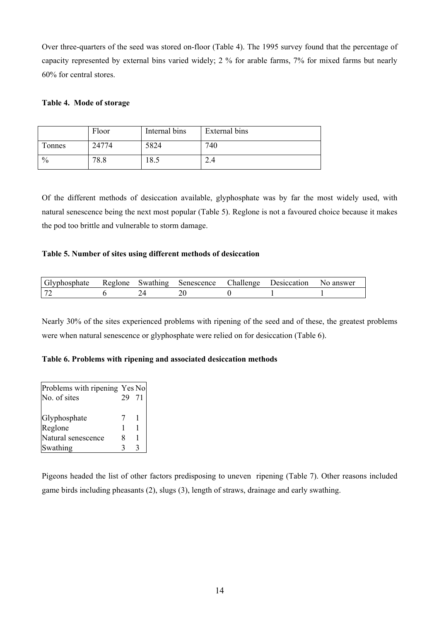Over three-quarters of the seed was stored on-floor (Table 4). The 1995 survey found that the percentage of capacity represented by external bins varied widely; 2 % for arable farms, 7% for mixed farms but nearly 60% for central stores.

# **Table 4. Mode of storage**

|               | Floor | Internal bins | External bins |
|---------------|-------|---------------|---------------|
| Tonnes        | 24774 | 5824          | 740           |
| $\frac{0}{0}$ | 78.8  | 18.5          | 2.4           |

Of the different methods of desiccation available, glyphosphate was by far the most widely used, with natural senescence being the next most popular (Table 5). Reglone is not a favoured choice because it makes the pod too brittle and vulnerable to storm damage.

# **Table 5. Number of sites using different methods of desiccation**

| Glyphosphate |  | Reglone Swathing Senescence Challenge | Desiccation No answer |  |
|--------------|--|---------------------------------------|-----------------------|--|
|              |  |                                       |                       |  |

Nearly 30% of the sites experienced problems with ripening of the seed and of these, the greatest problems were when natural senescence or glyphosphate were relied on for desiccation (Table 6).

# **Table 6. Problems with ripening and associated desiccation methods**

| Problems with ripening Yes No |       |  |
|-------------------------------|-------|--|
| No. of sites                  | 29 71 |  |
|                               |       |  |
| Glyphosphate                  |       |  |
| Reglone                       |       |  |
| Natural senescence            | x     |  |
| Swathing                      |       |  |

Pigeons headed the list of other factors predisposing to uneven ripening (Table 7). Other reasons included game birds including pheasants (2), slugs (3), length of straws, drainage and early swathing.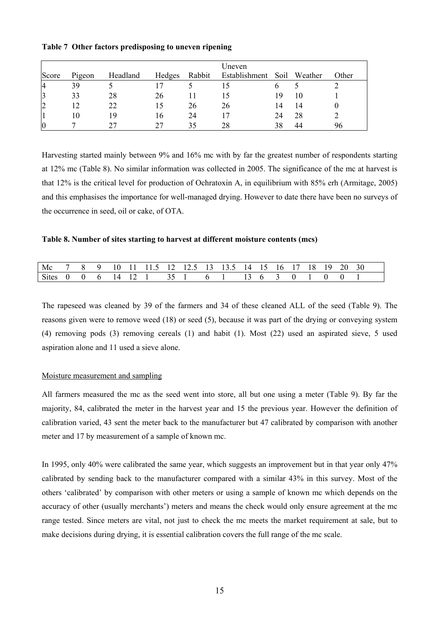|                |        |          |        |        | Uneven        |      |         |       |
|----------------|--------|----------|--------|--------|---------------|------|---------|-------|
| Score          | Pigeon | Headland | Hedges | Rabbit | Establishment | Soil | Weather | Other |
| $\overline{4}$ | 39     |          |        |        |               |      |         |       |
| 3              | 33     | 28       | 26     |        | 15            | 19   |         |       |
| $\overline{2}$ |        | 22       |        | 26     | 26            | 14   | 14      |       |
|                | 10     | 19       | l 6    | 24     |               | 24   | 28      |       |
| $\overline{0}$ |        |          |        | 35     | 28            | 38   | 44      | 96    |

## **Table 7 Other factors predisposing to uneven ripening**

Harvesting started mainly between 9% and 16% mc with by far the greatest number of respondents starting at 12% mc (Table 8). No similar information was collected in 2005. The significance of the mc at harvest is that 12% is the critical level for production of Ochratoxin A, in equilibrium with 85% erh (Armitage, 2005) and this emphasises the importance for well-managed drying. However to date there have been no surveys of the occurrence in seed, oil or cake, of OTA.

## **Table 8. Number of sites starting to harvest at different moisture contents (mcs)**

| Mc           |  | 10. |  |               |  | 1 11 11.5 12 12.5 13 13.5 14 15 16 |  | - FZ | IX. | Y | 20. | 30 |
|--------------|--|-----|--|---------------|--|------------------------------------|--|------|-----|---|-----|----|
| <b>Sites</b> |  |     |  | $\rightarrow$ |  |                                    |  |      |     |   |     |    |

The rapeseed was cleaned by 39 of the farmers and 34 of these cleaned ALL of the seed (Table 9). The reasons given were to remove weed (18) or seed (5), because it was part of the drying or conveying system (4) removing pods (3) removing cereals (1) and habit (1). Most (22) used an aspirated sieve, 5 used aspiration alone and 11 used a sieve alone.

#### Moisture measurement and sampling

All farmers measured the mc as the seed went into store, all but one using a meter (Table 9). By far the majority, 84, calibrated the meter in the harvest year and 15 the previous year. However the definition of calibration varied, 43 sent the meter back to the manufacturer but 47 calibrated by comparison with another meter and 17 by measurement of a sample of known mc.

In 1995, only 40% were calibrated the same year, which suggests an improvement but in that year only 47% calibrated by sending back to the manufacturer compared with a similar 43% in this survey. Most of the others 'calibrated' by comparison with other meters or using a sample of known mc which depends on the accuracy of other (usually merchants') meters and means the check would only ensure agreement at the mc range tested. Since meters are vital, not just to check the mc meets the market requirement at sale, but to make decisions during drying, it is essential calibration covers the full range of the mc scale.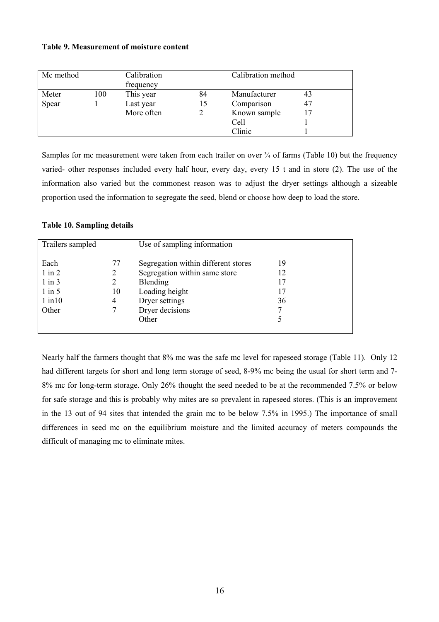## **Table 9. Measurement of moisture content**

| Mc method |     | Calibration<br>frequency |    | Calibration method |    |
|-----------|-----|--------------------------|----|--------------------|----|
| Meter     | 100 | This year                | 84 | Manufacturer       | 43 |
| Spear     |     | Last year                | 15 | Comparison         | 47 |
|           |     | More often               |    | Known sample       | 17 |
|           |     |                          |    | Cell               |    |
|           |     |                          |    | Clinic             |    |

Samples for mc measurement were taken from each trailer on over  $\frac{3}{4}$  of farms (Table 10) but the frequency varied- other responses included every half hour, every day, every 15 t and in store (2). The use of the information also varied but the commonest reason was to adjust the dryer settings although a sizeable proportion used the information to segregate the seed, blend or choose how deep to load the store.

## **Table 10. Sampling details**

| Trailers sampled |    | Use of sampling information         |    |
|------------------|----|-------------------------------------|----|
|                  |    |                                     |    |
| Each             | 77 | Segregation within different stores | 19 |
| $1$ in $2$       | 2  | Segregation within same store       | 12 |
| $1$ in $3$       |    | Blending                            | 17 |
| $1$ in $5$       | 10 | Loading height                      | 17 |
| $1$ in $10$      | 4  | Dryer settings                      | 36 |
| Other            |    | Dryer decisions                     | 7  |
|                  |    | Other                               | 5  |
|                  |    |                                     |    |

Nearly half the farmers thought that 8% mc was the safe mc level for rapeseed storage (Table 11). Only 12 had different targets for short and long term storage of seed, 8-9% mc being the usual for short term and 7- 8% mc for long-term storage. Only 26% thought the seed needed to be at the recommended 7.5% or below for safe storage and this is probably why mites are so prevalent in rapeseed stores. (This is an improvement in the 13 out of 94 sites that intended the grain mc to be below 7.5% in 1995.) The importance of small differences in seed mc on the equilibrium moisture and the limited accuracy of meters compounds the difficult of managing mc to eliminate mites.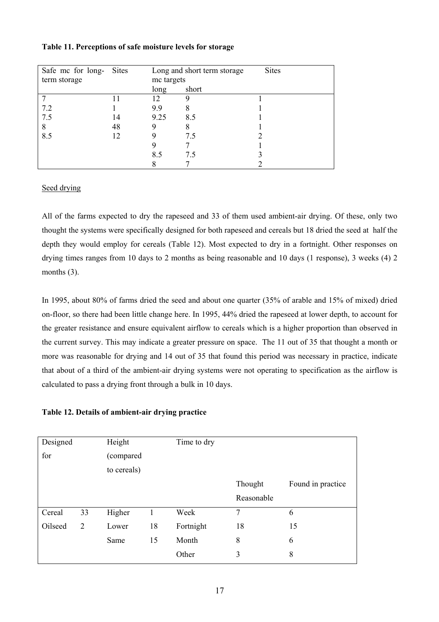|  | Table 11. Perceptions of safe moisture levels for storage |  |  |  |  |
|--|-----------------------------------------------------------|--|--|--|--|
|--|-----------------------------------------------------------|--|--|--|--|

| Safe mc for long- | Sites |            | Long and short term storage | <b>Sites</b> |
|-------------------|-------|------------|-----------------------------|--------------|
| term storage      |       | mc targets |                             |              |
|                   |       | long       | short                       |              |
|                   |       | 12         |                             |              |
| 7.2               |       | 9.9        | 8                           |              |
| 7.5               | 14    | 9.25       | 8.5                         |              |
| 8                 | 48    |            | 8                           |              |
| 8.5               | 12    |            | 7.5                         |              |
|                   |       |            |                             |              |
|                   |       | 8.5        | 7.5                         |              |
|                   |       |            |                             |              |

# Seed drying

All of the farms expected to dry the rapeseed and 33 of them used ambient-air drying. Of these, only two thought the systems were specifically designed for both rapeseed and cereals but 18 dried the seed at half the depth they would employ for cereals (Table 12). Most expected to dry in a fortnight. Other responses on drying times ranges from 10 days to 2 months as being reasonable and 10 days (1 response), 3 weeks (4) 2 months  $(3)$ .

In 1995, about 80% of farms dried the seed and about one quarter (35% of arable and 15% of mixed) dried on-floor, so there had been little change here. In 1995, 44% dried the rapeseed at lower depth, to account for the greater resistance and ensure equivalent airflow to cereals which is a higher proportion than observed in the current survey. This may indicate a greater pressure on space. The 11 out of 35 that thought a month or more was reasonable for drying and 14 out of 35 that found this period was necessary in practice, indicate that about of a third of the ambient-air drying systems were not operating to specification as the airflow is calculated to pass a drying front through a bulk in 10 days.

**Table 12. Details of ambient-air drying practice** 

| Designed |                | Height      |    | Time to dry |            |                   |
|----------|----------------|-------------|----|-------------|------------|-------------------|
| for      |                | (compared   |    |             |            |                   |
|          |                | to cereals) |    |             |            |                   |
|          |                |             |    |             | Thought    | Found in practice |
|          |                |             |    |             | Reasonable |                   |
| Cereal   | 33             | Higher      |    | Week        | 7          | 6                 |
| Oilseed  | $\overline{2}$ | Lower       | 18 | Fortnight   | 18         | 15                |
|          |                | Same        | 15 | Month       | 8          | 6                 |
|          |                |             |    | Other       | 3          | 8                 |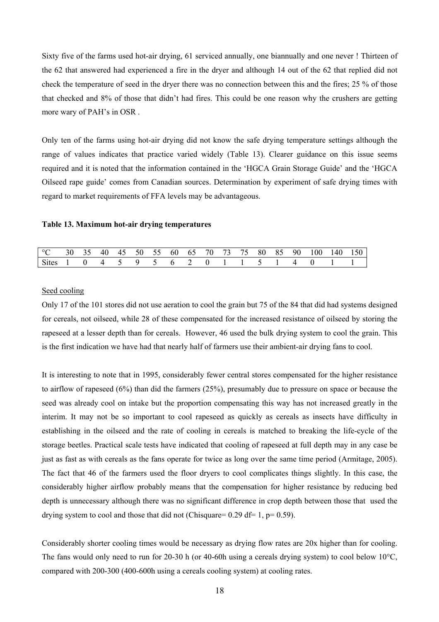Sixty five of the farms used hot-air drying, 61 serviced annually, one biannually and one never ! Thirteen of the 62 that answered had experienced a fire in the dryer and although 14 out of the 62 that replied did not check the temperature of seed in the dryer there was no connection between this and the fires; 25 % of those that checked and 8% of those that didn't had fires. This could be one reason why the crushers are getting more wary of PAH's in OSR .

Only ten of the farms using hot-air drying did not know the safe drying temperature settings although the range of values indicates that practice varied widely (Table 13). Clearer guidance on this issue seems required and it is noted that the information contained in the 'HGCA Grain Storage Guide' and the 'HGCA Oilseed rape guide' comes from Canadian sources. Determination by experiment of safe drying times with regard to market requirements of FFA levels may be advantageous.

## **Table 13. Maximum hot-air drying temperatures**

| °C 30 35 40 45 50 55 60 65 70 73 75 80 85 90 100 140 150 |  |  |  |  |  |  |  |  |  |
|----------------------------------------------------------|--|--|--|--|--|--|--|--|--|
| Sites 1 0 4 5 9 5 6 2 0 1 1 5 1 4 0                      |  |  |  |  |  |  |  |  |  |

#### Seed cooling

Only 17 of the 101 stores did not use aeration to cool the grain but 75 of the 84 that did had systems designed for cereals, not oilseed, while 28 of these compensated for the increased resistance of oilseed by storing the rapeseed at a lesser depth than for cereals. However, 46 used the bulk drying system to cool the grain. This is the first indication we have had that nearly half of farmers use their ambient-air drying fans to cool.

It is interesting to note that in 1995, considerably fewer central stores compensated for the higher resistance to airflow of rapeseed (6%) than did the farmers (25%), presumably due to pressure on space or because the seed was already cool on intake but the proportion compensating this way has not increased greatly in the interim. It may not be so important to cool rapeseed as quickly as cereals as insects have difficulty in establishing in the oilseed and the rate of cooling in cereals is matched to breaking the life-cycle of the storage beetles. Practical scale tests have indicated that cooling of rapeseed at full depth may in any case be just as fast as with cereals as the fans operate for twice as long over the same time period (Armitage, 2005). The fact that 46 of the farmers used the floor dryers to cool complicates things slightly. In this case, the considerably higher airflow probably means that the compensation for higher resistance by reducing bed depth is unnecessary although there was no significant difference in crop depth between those that used the drying system to cool and those that did not (Chisquare=  $0.29$  df= 1, p=  $0.59$ ).

Considerably shorter cooling times would be necessary as drying flow rates are 20x higher than for cooling. The fans would only need to run for 20-30 h (or 40-60h using a cereals drying system) to cool below  $10^{\circ}$ C, compared with 200-300 (400-600h using a cereals cooling system) at cooling rates.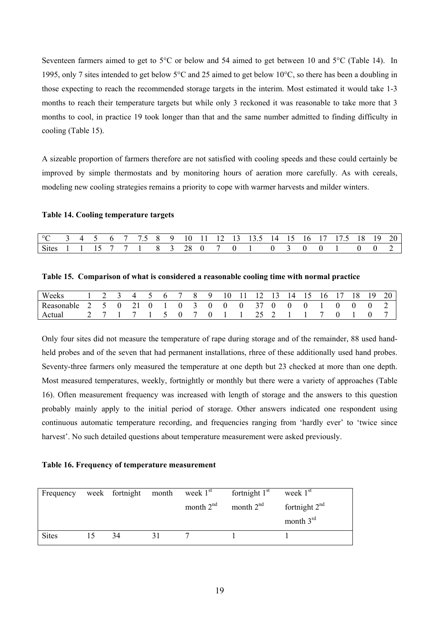Seventeen farmers aimed to get to 5°C or below and 54 aimed to get between 10 and 5°C (Table 14). In 1995, only 7 sites intended to get below 5°C and 25 aimed to get below 10°C, so there has been a doubling in those expecting to reach the recommended storage targets in the interim. Most estimated it would take 1-3 months to reach their temperature targets but while only 3 reckoned it was reasonable to take more that 3 months to cool, in practice 19 took longer than that and the same number admitted to finding difficulty in cooling (Table 15).

A sizeable proportion of farmers therefore are not satisfied with cooling speeds and these could certainly be improved by simple thermostats and by monitoring hours of aeration more carefully. As with cereals, modeling new cooling strategies remains a priority to cope with warmer harvests and milder winters.

#### **Table 14. Cooling temperature targets**

| °C 3 4 5 6 7 7.5 8 9 10 11 12 13 13.5 14 15 16 17 17.5 18 19 20 |  |  |  |  |  |  |  |  |  |  |  |
|-----------------------------------------------------------------|--|--|--|--|--|--|--|--|--|--|--|
| Sites 1 1 15 7 7 1 8 3 28 0 7 0 1 0 3 0 0 1 0 0 2 1             |  |  |  |  |  |  |  |  |  |  |  |

| Table 15. Comparison of what is considered a reasonable cooling time with normal practice |  |  |  |  |
|-------------------------------------------------------------------------------------------|--|--|--|--|
|                                                                                           |  |  |  |  |

| Weeks                                                |  | 1 2 3 4 5 6 7 8 9 10 11 12 13 14 15 16 17 18 19 20 |  |  |  |  |  |  |  |  |
|------------------------------------------------------|--|----------------------------------------------------|--|--|--|--|--|--|--|--|
| Reasonable 2 5 0 21 0 1 0 3 0 0 0 37 0 0 0 1 0 0 0 2 |  |                                                    |  |  |  |  |  |  |  |  |
| Actual                                               |  | 2 7 1 7 1 5 0 7 0 1 1 25 2 1 1 7 0 1               |  |  |  |  |  |  |  |  |

Only four sites did not measure the temperature of rape during storage and of the remainder, 88 used handheld probes and of the seven that had permanent installations, rhree of these additionally used hand probes. Seventy-three farmers only measured the temperature at one depth but 23 checked at more than one depth. Most measured temperatures, weekly, fortnightly or monthly but there were a variety of approaches (Table 16). Often measurement frequency was increased with length of storage and the answers to this question probably mainly apply to the initial period of storage. Other answers indicated one respondent using continuous automatic temperature recording, and frequencies ranging from 'hardly ever' to 'twice since harvest'. No such detailed questions about temperature measurement were asked previously.

## **Table 16. Frequency of temperature measurement**

| Frequency    |    | week fortnight month | week $1st$  | fortnight $1st$ | week $1st$      |
|--------------|----|----------------------|-------------|-----------------|-----------------|
|              |    |                      | month $2nd$ | month $2nd$     | fortnight $2nd$ |
|              |    |                      |             |                 | month $3rd$     |
| <b>Sites</b> | 15 | 34                   |             |                 |                 |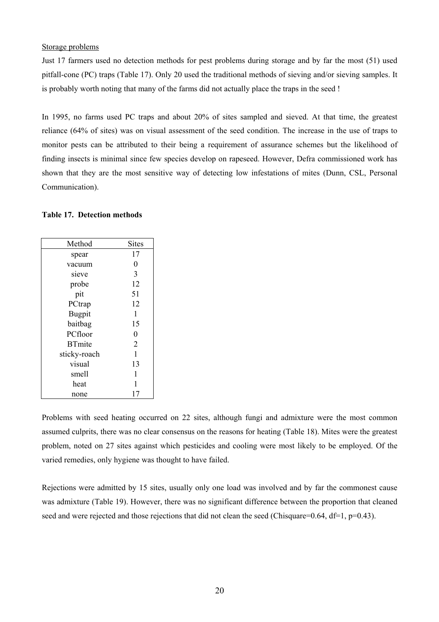## Storage problems

Just 17 farmers used no detection methods for pest problems during storage and by far the most (51) used pitfall-cone (PC) traps (Table 17). Only 20 used the traditional methods of sieving and/or sieving samples. It is probably worth noting that many of the farms did not actually place the traps in the seed !

In 1995, no farms used PC traps and about 20% of sites sampled and sieved. At that time, the greatest reliance (64% of sites) was on visual assessment of the seed condition. The increase in the use of traps to monitor pests can be attributed to their being a requirement of assurance schemes but the likelihood of finding insects is minimal since few species develop on rapeseed. However, Defra commissioned work has shown that they are the most sensitive way of detecting low infestations of mites (Dunn, CSL, Personal Communication).

## **Table 17. Detection methods**

| Method        | <b>Sites</b>     |
|---------------|------------------|
| spear         | 17               |
| vacuum        | $\boldsymbol{0}$ |
| sieve         | 3                |
| probe         | 12               |
| pit           | 51               |
| PCtrap        | 12               |
| <b>Bugpit</b> | 1                |
| baitbag       | 15               |
| PCfloor       | $\overline{0}$   |
| <b>BTmite</b> | $\overline{2}$   |
| sticky-roach  | 1                |
| visual        | 13               |
| smell         | 1                |
| heat          | 1                |
| none          | 17               |

Problems with seed heating occurred on 22 sites, although fungi and admixture were the most common assumed culprits, there was no clear consensus on the reasons for heating (Table 18). Mites were the greatest problem, noted on 27 sites against which pesticides and cooling were most likely to be employed. Of the varied remedies, only hygiene was thought to have failed.

Rejections were admitted by 15 sites, usually only one load was involved and by far the commonest cause was admixture (Table 19). However, there was no significant difference between the proportion that cleaned seed and were rejected and those rejections that did not clean the seed (Chisquare=0.64, df=1, p=0.43).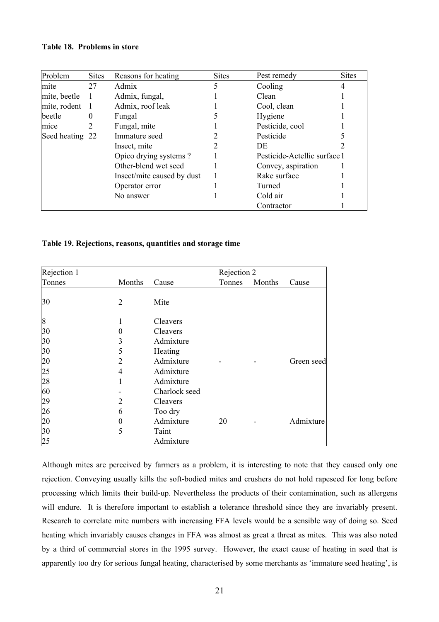## **Table 18. Problems in store**

| Problem         | <b>Sites</b> | Reasons for heating        | <b>Sites</b> | Pest remedy                  | <b>Sites</b> |
|-----------------|--------------|----------------------------|--------------|------------------------------|--------------|
| mite            | 27           | Admix                      |              | Cooling                      |              |
| mite, beetle    |              | Admix, fungal,             |              | Clean                        |              |
| mite, rodent    | -1           | Admix, roof leak           |              | Cool, clean                  |              |
| beetle          | $\Omega$     | Fungal                     |              | Hygiene                      |              |
| mice            | 2            | Fungal, mite               |              | Pesticide, cool              |              |
| Seed heating 22 |              | Immature seed              |              | Pesticide                    |              |
|                 |              | Insect, mite               |              | DE                           |              |
|                 |              | Opico drying systems?      |              | Pesticide-Actellic surface 1 |              |
|                 |              | Other-blend wet seed       |              | Convey, aspiration           |              |
|                 |              | Insect/mite caused by dust |              | Rake surface                 |              |
|                 |              | Operator error             |              | Turned                       |              |
|                 |              | No answer                  |              | Cold air                     |              |
|                 |              |                            |              | Contractor                   |              |

## **Table 19. Rejections, reasons, quantities and storage time**

| Rejection 1 |        |               | Rejection 2 |        |            |
|-------------|--------|---------------|-------------|--------|------------|
| Tonnes      | Months | Cause         | Tonnes      | Months | Cause      |
| 30          | 2      | Mite          |             |        |            |
| 8           | 1      | Cleavers      |             |        |            |
| 30          | 0      | Cleavers      |             |        |            |
| 30          | 3      | Admixture     |             |        |            |
| 30          | 5      | Heating       |             |        |            |
| 20          | 2      | Admixture     |             |        | Green seed |
| 25          | 4      | Admixture     |             |        |            |
| 28          |        | Admixture     |             |        |            |
| 60          |        | Charlock seed |             |        |            |
| 29          | 2      | Cleavers      |             |        |            |
| 26          | 6      | Too dry       |             |        |            |
| 20          | 0      | Admixture     | 20          |        | Admixture  |
| 30          | 5      | Taint         |             |        |            |
| 25          |        | Admixture     |             |        |            |

Although mites are perceived by farmers as a problem, it is interesting to note that they caused only one rejection. Conveying usually kills the soft-bodied mites and crushers do not hold rapeseed for long before processing which limits their build-up. Nevertheless the products of their contamination, such as allergens will endure. It is therefore important to establish a tolerance threshold since they are invariably present. Research to correlate mite numbers with increasing FFA levels would be a sensible way of doing so. Seed heating which invariably causes changes in FFA was almost as great a threat as mites. This was also noted by a third of commercial stores in the 1995 survey. However, the exact cause of heating in seed that is apparently too dry for serious fungal heating, characterised by some merchants as 'immature seed heating', is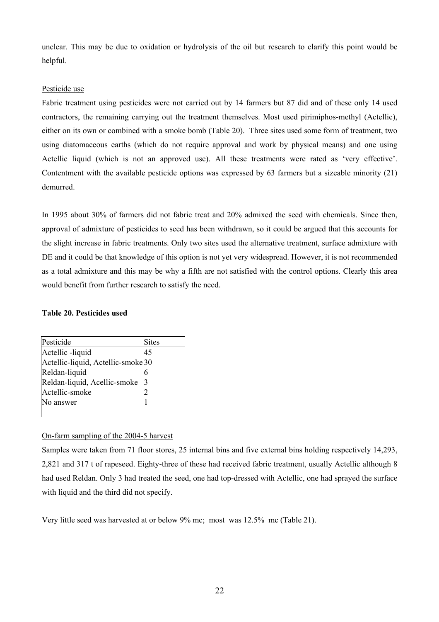unclear. This may be due to oxidation or hydrolysis of the oil but research to clarify this point would be helpful.

# Pesticide use

Fabric treatment using pesticides were not carried out by 14 farmers but 87 did and of these only 14 used contractors, the remaining carrying out the treatment themselves. Most used pirimiphos-methyl (Actellic), either on its own or combined with a smoke bomb (Table 20). Three sites used some form of treatment, two using diatomaceous earths (which do not require approval and work by physical means) and one using Actellic liquid (which is not an approved use). All these treatments were rated as 'very effective'. Contentment with the available pesticide options was expressed by 63 farmers but a sizeable minority (21) demurred.

In 1995 about 30% of farmers did not fabric treat and 20% admixed the seed with chemicals. Since then, approval of admixture of pesticides to seed has been withdrawn, so it could be argued that this accounts for the slight increase in fabric treatments. Only two sites used the alternative treatment, surface admixture with DE and it could be that knowledge of this option is not yet very widespread. However, it is not recommended as a total admixture and this may be why a fifth are not satisfied with the control options. Clearly this area would benefit from further research to satisfy the need.

# **Table 20. Pesticides used**

| Pesticide                          | <b>Sites</b> |
|------------------------------------|--------------|
| Actellic -liquid                   | 45           |
| Actellic-liquid, Actellic-smoke 30 |              |
| Reldan-liquid                      | 6            |
| Reldan-liquid, Acellic-smoke 3     |              |
| Actellic-smoke                     | 2            |
| No answer                          |              |
|                                    |              |

# On-farm sampling of the 2004-5 harvest

Samples were taken from 71 floor stores, 25 internal bins and five external bins holding respectively 14,293, 2,821 and 317 t of rapeseed. Eighty-three of these had received fabric treatment, usually Actellic although 8 had used Reldan. Only 3 had treated the seed, one had top-dressed with Actellic, one had sprayed the surface with liquid and the third did not specify.

Very little seed was harvested at or below 9% mc; most was 12.5% mc (Table 21).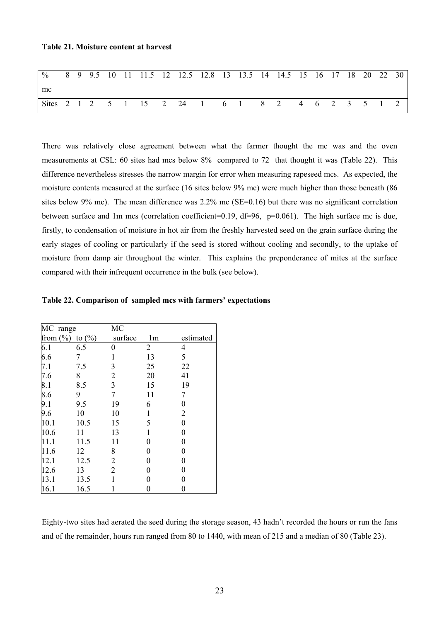#### **Table 21. Moisture content at harvest**

| % 8 9 9.5 10 11 11.5 12 12.5 12.8 13 13.5 14 14.5 15 16 17 18 20 22 30 |  |  |  |  |  |  |  |  |  |  |
|------------------------------------------------------------------------|--|--|--|--|--|--|--|--|--|--|
| mc                                                                     |  |  |  |  |  |  |  |  |  |  |
| Sites 2 1 2 5 1 15 2 24 1 6 1 8 2 4 6 2 3 5 1 2                        |  |  |  |  |  |  |  |  |  |  |

There was relatively close agreement between what the farmer thought the mc was and the oven measurements at CSL: 60 sites had mcs below 8% compared to 72 that thought it was (Table 22). This difference nevertheless stresses the narrow margin for error when measuring rapeseed mcs. As expected, the moisture contents measured at the surface (16 sites below 9% mc) were much higher than those beneath (86 sites below 9% mc). The mean difference was 2.2% mc (SE=0.16) but there was no significant correlation between surface and 1m mcs (correlation coefficient=0.19, df=96, p=0.061). The high surface mc is due, firstly, to condensation of moisture in hot air from the freshly harvested seed on the grain surface during the early stages of cooling or particularly if the seed is stored without cooling and secondly, to the uptake of moisture from damp air throughout the winter. This explains the preponderance of mites at the surface compared with their infrequent occurrence in the bulk (see below).

| MC range     |            | MC             |                |                  |
|--------------|------------|----------------|----------------|------------------|
| from $(\% )$ | to $(\% )$ | surface        | 1 <sub>m</sub> | estimated        |
| 6.1          | 6.5        | 0              | 2              | 4                |
| 6.6          | 7          | 1              | 13             | 5                |
| 7.1          | 7.5        | 3              | 25             | 22               |
| 7.6          | 8          | $\overline{2}$ | 20             | 41               |
| 8.1          | 8.5        | 3              | 15             | 19               |
| 8.6          | 9          | 7              | 11             | 7                |
| 9.1          | 9.5        | 19             | 6              | 0                |
| 9.6          | 10         | 10             | 1              | $\overline{2}$   |
| 10.1         | 10.5       | 15             | 5              | $\boldsymbol{0}$ |
| 10.6         | 11         | 13             | 1              | 0                |
| 11.1         | 11.5       | 11             | $\overline{0}$ | 0                |
| 11.6         | 12         | 8              | 0              | 0                |
| 12.1         | 12.5       | 2              | 0              | 0                |
| 12.6         | 13         | $\overline{2}$ | 0              | 0                |
| 13.1         | 13.5       | 1              | 0              | 0                |
| 16.1         | 16.5       |                | 0              | 0                |

**Table 22. Comparison of sampled mcs with farmers' expectations** 

Eighty-two sites had aerated the seed during the storage season, 43 hadn't recorded the hours or run the fans and of the remainder, hours run ranged from 80 to 1440, with mean of 215 and a median of 80 (Table 23).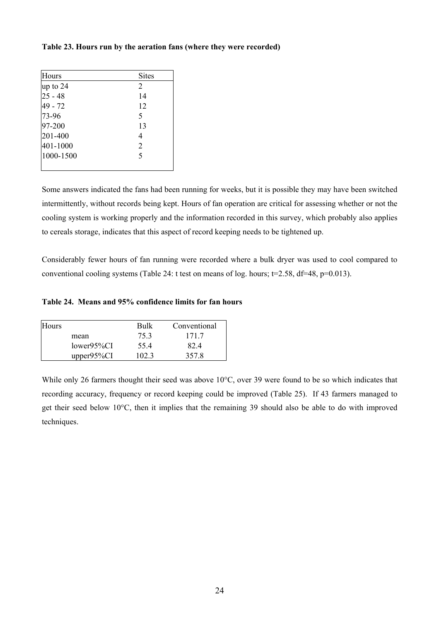## **Table 23. Hours run by the aeration fans (where they were recorded)**

| Hours     | <b>Sites</b>   |
|-----------|----------------|
| up to 24  | 2              |
| $25 - 48$ | 14             |
| 49 - 72   | 12             |
| 73-96     | 5              |
| 97-200    | 13             |
| 201-400   | 4              |
| 401-1000  | $\overline{2}$ |
| 1000-1500 | $\varsigma$    |
|           |                |

Some answers indicated the fans had been running for weeks, but it is possible they may have been switched intermittently, without records being kept. Hours of fan operation are critical for assessing whether or not the cooling system is working properly and the information recorded in this survey, which probably also applies to cereals storage, indicates that this aspect of record keeping needs to be tightened up.

Considerably fewer hours of fan running were recorded where a bulk dryer was used to cool compared to conventional cooling systems (Table 24: t test on means of log. hours;  $t=2.58$ ,  $df=48$ ,  $p=0.013$ ).

## **Table 24. Means and 95% confidence limits for fan hours**

| <b>Hours</b> |               | Bulk  | Conventional |
|--------------|---------------|-------|--------------|
|              | mean          | 75.3  | 1717         |
|              | $lower95\%CI$ | 554   | 824          |
|              | $upper95\%CI$ | 102.3 | 357.8        |

While only 26 farmers thought their seed was above 10°C, over 39 were found to be so which indicates that recording accuracy, frequency or record keeping could be improved (Table 25). If 43 farmers managed to get their seed below 10°C, then it implies that the remaining 39 should also be able to do with improved techniques.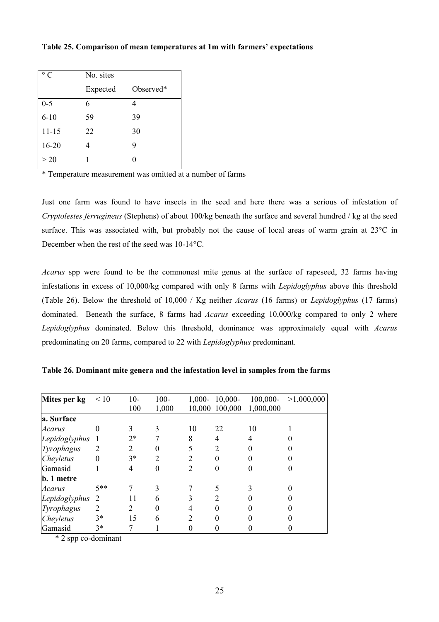| $\circ$ C | No. sites |           |
|-----------|-----------|-----------|
|           | Expected  | Observed* |
| $0 - 5$   | 6         | 4         |
| $6 - 10$  | 59        | 39        |
| $11 - 15$ | 22        | 30        |
| $16 - 20$ | 4         | 9         |
| >20       |           |           |

# **Table 25. Comparison of mean temperatures at 1m with farmers' expectations**

\* Temperature measurement was omitted at a number of farms

Just one farm was found to have insects in the seed and here there was a serious of infestation of *Cryptolestes ferrugineus* (Stephens) of about 100/kg beneath the surface and several hundred / kg at the seed surface. This was associated with, but probably not the cause of local areas of warm grain at 23°C in December when the rest of the seed was 10-14°C.

*Acarus* spp were found to be the commonest mite genus at the surface of rapeseed, 32 farms having infestations in excess of 10,000/kg compared with only 8 farms with *Lepidoglyphus* above this threshold (Table 26). Below the threshold of 10,000 / Kg neither *Acarus* (16 farms) or *Lepidoglyphus* (17 farms) dominated. Beneath the surface, 8 farms had *Acarus* exceeding 10,000/kg compared to only 2 where *Lepidoglyphus* dominated. Below this threshold, dominance was approximately equal with *Acarus*  predominating on 20 farms, compared to 22 with *Lepidoglyphus* predominant.

| Mites per kg  | < 10     | $10-$                       | $100 -$  |                | $1,000 - 10,000 -$ | $100,000 -$ | >1,000,000 |
|---------------|----------|-----------------------------|----------|----------------|--------------------|-------------|------------|
|               |          | 100                         | 1,000    |                | 10,000 100,000     | 1,000,000   |            |
| a. Surface    |          |                             |          |                |                    |             |            |
| Acarus        | $\theta$ |                             |          | 10             | 22                 | 10          |            |
| Lepidoglyphus |          | $2*$                        |          | 8              | 4                  | 4           |            |
| Tyrophagus    |          | $\mathcal{D}_{\mathcal{L}}$ | 0        |                | 2                  |             |            |
| Cheyletus     | $\theta$ | $3*$                        | 2        | $\mathfrak{D}$ | 0                  |             |            |
| Gamasid       |          | 4                           | $\theta$ | 2              | 0                  |             |            |
| b. 1 metre    |          |                             |          |                |                    |             |            |
| Acarus        | $5**$    |                             | 3        |                |                    |             |            |
| Lepidoglyphus | - 2      | 11                          | 6        | 3              |                    |             |            |
| Tyrophagus    | 2        | 2                           | $\theta$ | 4              |                    |             |            |
| Cheyletus     | $3*$     | 15                          | 6        | $\mathcal{D}$  | $\Omega$           |             |            |
| Gamasid       | $3*$     |                             |          |                |                    |             |            |

**Table 26. Dominant mite genera and the infestation level in samples from the farms** 

\* 2 spp co-dominant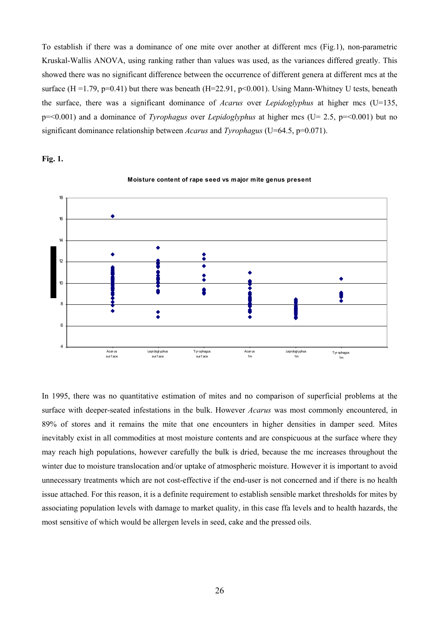To establish if there was a dominance of one mite over another at different mcs (Fig.1), non-parametric Kruskal-Wallis ANOVA, using ranking rather than values was used, as the variances differed greatly. This showed there was no significant difference between the occurrence of different genera at different mcs at the surface (H = 1.79, p=0.41) but there was beneath (H=22.91, p<0.001). Using Mann-Whitney U tests, beneath the surface, there was a significant dominance of *Acarus* over *Lepidoglyphus* at higher mcs (U=135, p=<0.001) and a dominance of *Tyrophagus* over *Lepidoglyphus* at higher mcs (U= 2.5, p=<0.001) but no significant dominance relationship between *Acarus* and *Tyrophagus* (U=64.5, p=0.071).





**Moisture content of rape seed vs major mite genus present**

In 1995, there was no quantitative estimation of mites and no comparison of superficial problems at the surface with deeper-seated infestations in the bulk. However *Acarus* was most commonly encountered, in 89% of stores and it remains the mite that one encounters in higher densities in damper seed. Mites inevitably exist in all commodities at most moisture contents and are conspicuous at the surface where they may reach high populations, however carefully the bulk is dried, because the mc increases throughout the winter due to moisture translocation and/or uptake of atmospheric moisture. However it is important to avoid unnecessary treatments which are not cost-effective if the end-user is not concerned and if there is no health issue attached. For this reason, it is a definite requirement to establish sensible market thresholds for mites by associating population levels with damage to market quality, in this case ffa levels and to health hazards, the most sensitive of which would be allergen levels in seed, cake and the pressed oils.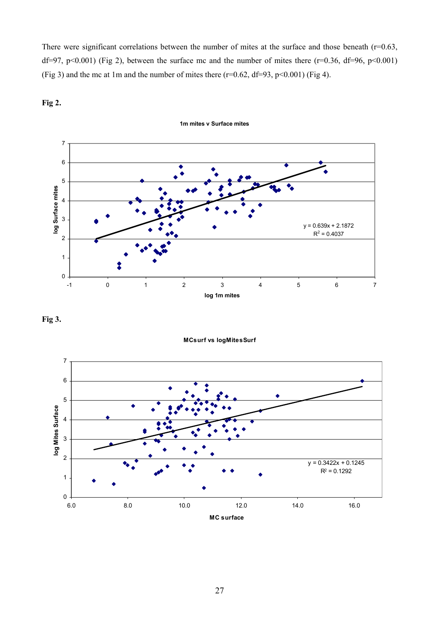There were significant correlations between the number of mites at the surface and those beneath  $(r=0.63,$ df=97, p<0.001) (Fig 2), between the surface mc and the number of mites there (r=0.36, df=96, p<0.001) (Fig 3) and the mc at 1m and the number of mites there  $(r=0.62, df=93, p<0.001)$  (Fig 4).





**1m mites v Surface mites**

**Fig 3.** 

**MCsurf vs logMitesSurf**

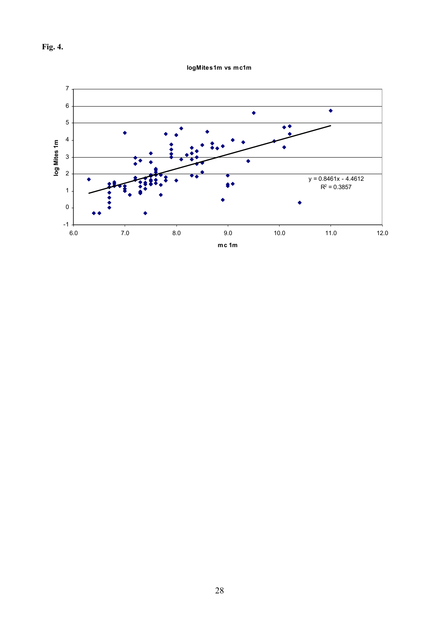

**logMites1m vs mc1m**

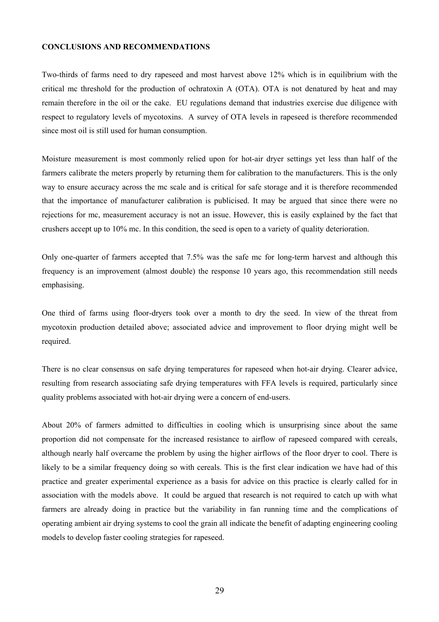#### **CONCLUSIONS AND RECOMMENDATIONS**

Two-thirds of farms need to dry rapeseed and most harvest above 12% which is in equilibrium with the critical mc threshold for the production of ochratoxin A (OTA). OTA is not denatured by heat and may remain therefore in the oil or the cake. EU regulations demand that industries exercise due diligence with respect to regulatory levels of mycotoxins. A survey of OTA levels in rapeseed is therefore recommended since most oil is still used for human consumption.

Moisture measurement is most commonly relied upon for hot-air dryer settings yet less than half of the farmers calibrate the meters properly by returning them for calibration to the manufacturers. This is the only way to ensure accuracy across the mc scale and is critical for safe storage and it is therefore recommended that the importance of manufacturer calibration is publicised. It may be argued that since there were no rejections for mc, measurement accuracy is not an issue. However, this is easily explained by the fact that crushers accept up to 10% mc. In this condition, the seed is open to a variety of quality deterioration.

Only one-quarter of farmers accepted that 7.5% was the safe mc for long-term harvest and although this frequency is an improvement (almost double) the response 10 years ago, this recommendation still needs emphasising.

One third of farms using floor-dryers took over a month to dry the seed. In view of the threat from mycotoxin production detailed above; associated advice and improvement to floor drying might well be required.

There is no clear consensus on safe drying temperatures for rapeseed when hot-air drying. Clearer advice, resulting from research associating safe drying temperatures with FFA levels is required, particularly since quality problems associated with hot-air drying were a concern of end-users.

About 20% of farmers admitted to difficulties in cooling which is unsurprising since about the same proportion did not compensate for the increased resistance to airflow of rapeseed compared with cereals, although nearly half overcame the problem by using the higher airflows of the floor dryer to cool. There is likely to be a similar frequency doing so with cereals. This is the first clear indication we have had of this practice and greater experimental experience as a basis for advice on this practice is clearly called for in association with the models above. It could be argued that research is not required to catch up with what farmers are already doing in practice but the variability in fan running time and the complications of operating ambient air drying systems to cool the grain all indicate the benefit of adapting engineering cooling models to develop faster cooling strategies for rapeseed.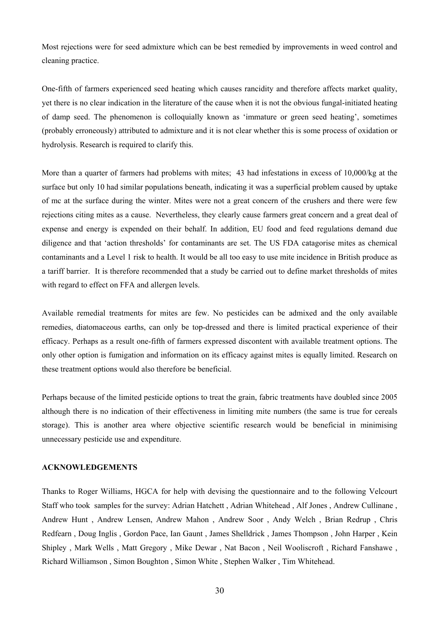Most rejections were for seed admixture which can be best remedied by improvements in weed control and cleaning practice.

One-fifth of farmers experienced seed heating which causes rancidity and therefore affects market quality, yet there is no clear indication in the literature of the cause when it is not the obvious fungal-initiated heating of damp seed. The phenomenon is colloquially known as 'immature or green seed heating', sometimes (probably erroneously) attributed to admixture and it is not clear whether this is some process of oxidation or hydrolysis. Research is required to clarify this.

More than a quarter of farmers had problems with mites; 43 had infestations in excess of 10,000/kg at the surface but only 10 had similar populations beneath, indicating it was a superficial problem caused by uptake of mc at the surface during the winter. Mites were not a great concern of the crushers and there were few rejections citing mites as a cause. Nevertheless, they clearly cause farmers great concern and a great deal of expense and energy is expended on their behalf. In addition, EU food and feed regulations demand due diligence and that 'action thresholds' for contaminants are set. The US FDA catagorise mites as chemical contaminants and a Level 1 risk to health. It would be all too easy to use mite incidence in British produce as a tariff barrier. It is therefore recommended that a study be carried out to define market thresholds of mites with regard to effect on FFA and allergen levels.

Available remedial treatments for mites are few. No pesticides can be admixed and the only available remedies, diatomaceous earths, can only be top-dressed and there is limited practical experience of their efficacy. Perhaps as a result one-fifth of farmers expressed discontent with available treatment options. The only other option is fumigation and information on its efficacy against mites is equally limited. Research on these treatment options would also therefore be beneficial.

Perhaps because of the limited pesticide options to treat the grain, fabric treatments have doubled since 2005 although there is no indication of their effectiveness in limiting mite numbers (the same is true for cereals storage). This is another area where objective scientific research would be beneficial in minimising unnecessary pesticide use and expenditure.

#### **ACKNOWLEDGEMENTS**

Thanks to Roger Williams, HGCA for help with devising the questionnaire and to the following Velcourt Staff who took samples for the survey: Adrian Hatchett , Adrian Whitehead , Alf Jones , Andrew Cullinane , Andrew Hunt , Andrew Lensen, Andrew Mahon , Andrew Soor , Andy Welch , Brian Redrup , Chris Redfearn , Doug Inglis , Gordon Pace, Ian Gaunt , James Shelldrick , James Thompson , John Harper , Kein Shipley , Mark Wells , Matt Gregory , Mike Dewar , Nat Bacon , Neil Wooliscroft , Richard Fanshawe , Richard Williamson , Simon Boughton , Simon White , Stephen Walker , Tim Whitehead.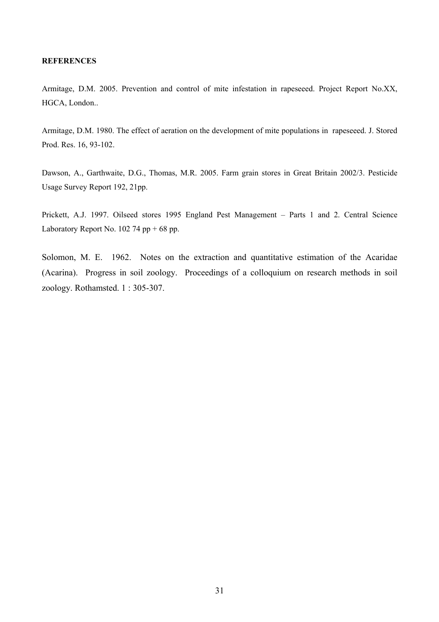# **REFERENCES**

Armitage, D.M. 2005. Prevention and control of mite infestation in rapeseeed. Project Report No.XX, HGCA, London..

Armitage, D.M. 1980. The effect of aeration on the development of mite populations in rapeseeed. J. Stored Prod. Res. 16, 93-102.

Dawson, A., Garthwaite, D.G., Thomas, M.R. 2005. Farm grain stores in Great Britain 2002/3. Pesticide Usage Survey Report 192, 21pp.

Prickett, A.J. 1997. Oilseed stores 1995 England Pest Management – Parts 1 and 2. Central Science Laboratory Report No.  $102$  74 pp + 68 pp.

Solomon, M. E. 1962. Notes on the extraction and quantitative estimation of the Acaridae (Acarina). Progress in soil zoology. Proceedings of a colloquium on research methods in soil zoology. Rothamsted. 1 : 305-307.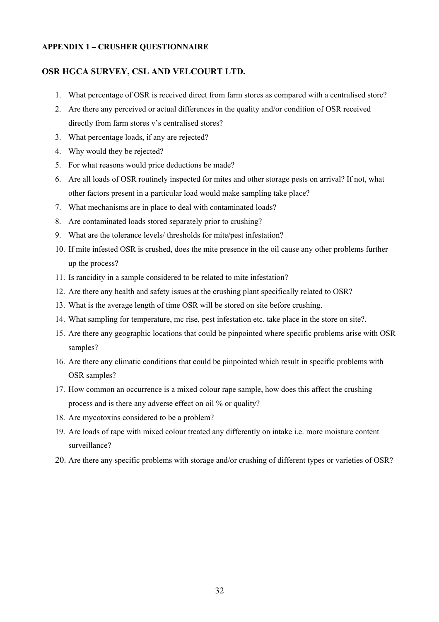# **APPENDIX 1 – CRUSHER QUESTIONNAIRE**

# **OSR HGCA SURVEY, CSL AND VELCOURT LTD.**

- 1. What percentage of OSR is received direct from farm stores as compared with a centralised store?
- 2. Are there any perceived or actual differences in the quality and/or condition of OSR received directly from farm stores v's centralised stores?
- 3. What percentage loads, if any are rejected?
- 4. Why would they be rejected?
- 5. For what reasons would price deductions be made?
- 6. Are all loads of OSR routinely inspected for mites and other storage pests on arrival? If not, what other factors present in a particular load would make sampling take place?
- 7. What mechanisms are in place to deal with contaminated loads?
- 8. Are contaminated loads stored separately prior to crushing?
- 9. What are the tolerance levels/ thresholds for mite/pest infestation?
- 10. If mite infested OSR is crushed, does the mite presence in the oil cause any other problems further up the process?
- 11. Is rancidity in a sample considered to be related to mite infestation?
- 12. Are there any health and safety issues at the crushing plant specifically related to OSR?
- 13. What is the average length of time OSR will be stored on site before crushing.
- 14. What sampling for temperature, mc rise, pest infestation etc. take place in the store on site?.
- 15. Are there any geographic locations that could be pinpointed where specific problems arise with OSR samples?
- 16. Are there any climatic conditions that could be pinpointed which result in specific problems with OSR samples?
- 17. How common an occurrence is a mixed colour rape sample, how does this affect the crushing process and is there any adverse effect on oil % or quality?
- 18. Are mycotoxins considered to be a problem?
- 19. Are loads of rape with mixed colour treated any differently on intake i.e. more moisture content surveillance?
- 20. Are there any specific problems with storage and/or crushing of different types or varieties of OSR?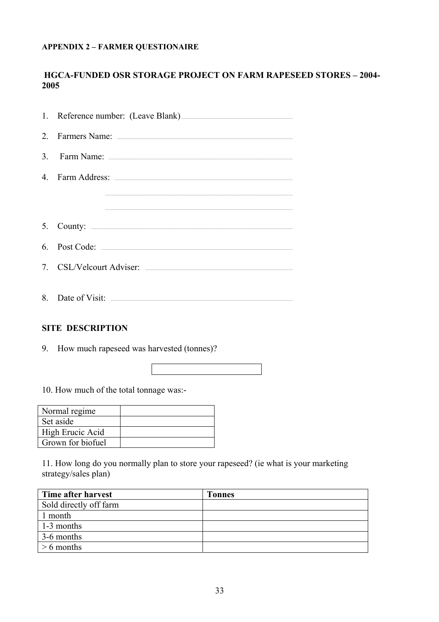# **APPENDIX 2 - FARMER QUESTIONAIRE**

# **HGCA-FUNDED OSR STORAGE PROJECT ON FARM RAPESEED STORES - 2004-**2005

| 1. Reference number: (Leave Blank) |
|------------------------------------|
|                                    |
|                                    |
|                                    |
|                                    |
|                                    |
|                                    |
|                                    |
|                                    |
|                                    |

# **SITE DESCRIPTION**

9. How much rapeseed was harvested (tonnes)?

10. How much of the total tonnage was:-

| Normal regime     |  |
|-------------------|--|
| Set aside         |  |
| High Erucic Acid  |  |
| Grown for biofuel |  |

11. How long do you normally plan to store your rapeseed? (ie what is your marketing strategy/sales plan)

| Time after harvest     | <b>Tonnes</b> |
|------------------------|---------------|
| Sold directly off farm |               |
| 1 month                |               |
| 1-3 months             |               |
| 3-6 months             |               |
| $> 6$ months           |               |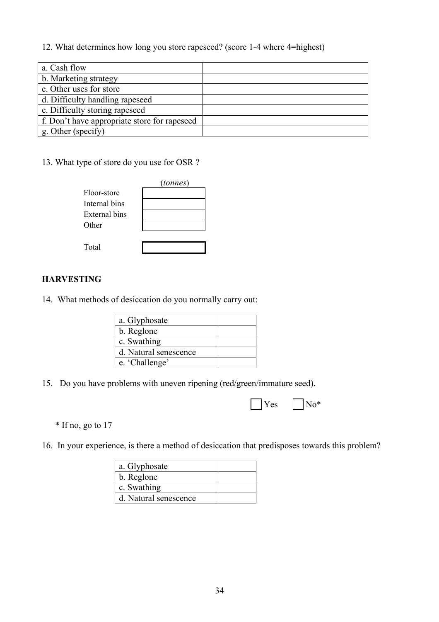# 12. What determines how long you store rapeseed? (score 1-4 where 4=highest)

| a. Cash flow                                 |  |
|----------------------------------------------|--|
| b. Marketing strategy                        |  |
| c. Other uses for store                      |  |
| d. Difficulty handling rapeseed              |  |
| e. Difficulty storing rapeseed               |  |
| f. Don't have appropriate store for rapeseed |  |
| g. Other (specify)                           |  |

# 13. What type of store do you use for OSR ?

|                      | (tonnes) |
|----------------------|----------|
| Floor-store          |          |
| Internal bins        |          |
| <b>External bins</b> |          |
| Other                |          |
|                      |          |
| Total                |          |

# **HARVESTING**

14. What methods of desiccation do you normally carry out:

| a. Glyphosate         |  |
|-----------------------|--|
| b. Reglone            |  |
| c. Swathing           |  |
| d. Natural senescence |  |
| e. 'Challenge'        |  |

15. Do you have problems with uneven ripening (red/green/immature seed).

| $\bigcap$ Yes $\bigcap$ No* |
|-----------------------------|
|-----------------------------|

\* If no, go to 17

16. In your experience, is there a method of desiccation that predisposes towards this problem?

| a. Glyphosate         |  |
|-----------------------|--|
| b. Reglone            |  |
| c. Swathing           |  |
| d. Natural senescence |  |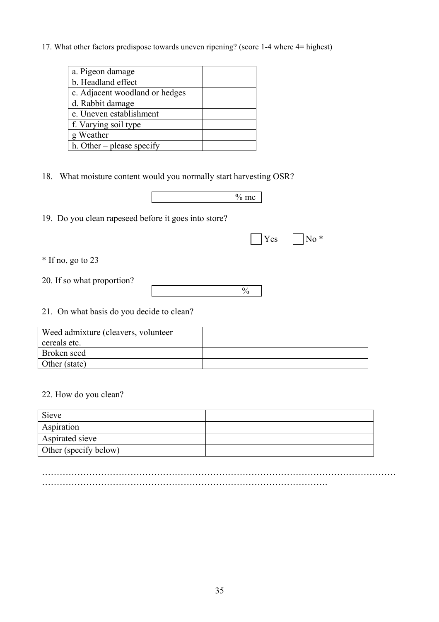17. What other factors predispose towards uneven ripening? (score 1-4 where 4= highest)

| a. Pigeon damage               |  |
|--------------------------------|--|
| b. Headland effect             |  |
| c. Adjacent woodland or hedges |  |
| d. Rabbit damage               |  |
| e. Uneven establishment        |  |
| f. Varying soil type           |  |
| g Weather                      |  |
| h. Other – please specify      |  |

18. What moisture content would you normally start harvesting OSR?

|                                                      | $\%$ mc       |
|------------------------------------------------------|---------------|
| 19. Do you clean rapeseed before it goes into store? |               |
|                                                      | $No*$<br>Yes  |
| $*$ If no, go to 23                                  |               |
| 20. If so what proportion?                           | $\frac{0}{0}$ |
| 21. On what basis do you decide to clean?            |               |
| Weed admixture Colegyers volunteer                   |               |

| Weed admixture (cleavers, volunteer<br>cereals etc. |  |
|-----------------------------------------------------|--|
| Broken seed                                         |  |
| Other (state)                                       |  |

# 22. How do you clean?

| Sieve                 |  |
|-----------------------|--|
| Aspiration            |  |
| Aspirated sieve       |  |
| Other (specify below) |  |

………………………………………………………………………………………………………… …………………………………………………………………………………….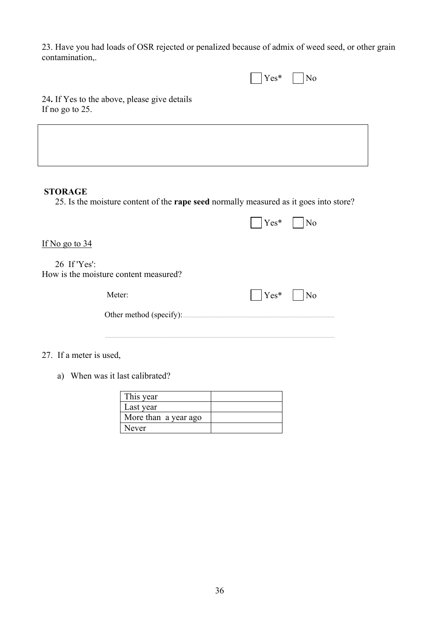23. Have you had loads of OSR rejected or penalized because of admix of weed seed, or other grain contamination,.

| $\neg$ *<br>$-$ | ∩⊬ |
|-----------------|----|
|-----------------|----|

24**.** If Yes to the above, please give details If no go to 25.

# **STORAGE**

25. Is the moisture content of the **rape seed** normally measured as it goes into store?

|                                                       | $Yes*$<br>N <sub>0</sub> |
|-------------------------------------------------------|--------------------------|
| If No go to $34$                                      |                          |
| 26 If 'Yes':<br>How is the moisture content measured? |                          |
| Meter:                                                | $Yes*$<br>No             |
| Other method (specify):                               |                          |
|                                                       |                          |

27. If a meter is used,

a) When was it last calibrated?

| This year            |  |
|----------------------|--|
| Last year            |  |
| More than a year ago |  |
| Never                |  |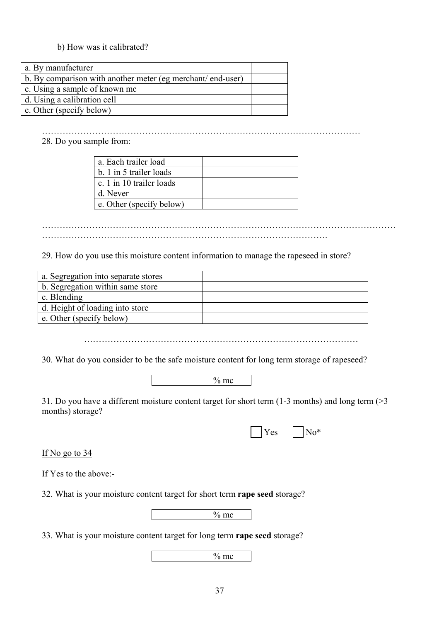# b) How was it calibrated?

| a. By manufacturer                                         |  |
|------------------------------------------------------------|--|
| b. By comparison with another meter (eg merchant/end-user) |  |
| c. Using a sample of known mc                              |  |
| d. Using a calibration cell                                |  |
| $\epsilon$ . Other (specify below)                         |  |

#### ……………………………………………………………………………………………… 28. Do you sample from:

| a. Each trailer load     |  |
|--------------------------|--|
| b. 1 in 5 trailer loads  |  |
| c. 1 in 10 trailer loads |  |
| d. Never                 |  |
| e. Other (specify below) |  |

………………………………………………………………………………………………………… …………………………………………………………………………………….

29. How do you use this moisture content information to manage the rapeseed in store?

| a. Segregation into separate stores |  |
|-------------------------------------|--|
| b. Segregation within same store    |  |
| c. Blending                         |  |
| d. Height of loading into store     |  |
| e. Other (specify below)            |  |

…………………………………………………………………………………

30. What do you consider to be the safe moisture content for long term storage of rapeseed?

| nc<br>--- |  |
|-----------|--|
|           |  |

31. Do you have a different moisture content target for short term (1-3 months) and long term (>3 months) storage?

|  |  |  |  | $\Box$ Yes $\Box$ No* |  |
|--|--|--|--|-----------------------|--|
|--|--|--|--|-----------------------|--|

If No go to 34

If Yes to the above:-

32. What is your moisture content target for short term **rape seed** storage?

 $\frac{6}{6}$  mc

33. What is your moisture content target for long term **rape seed** storage?

 $\frac{6}{6}$  mc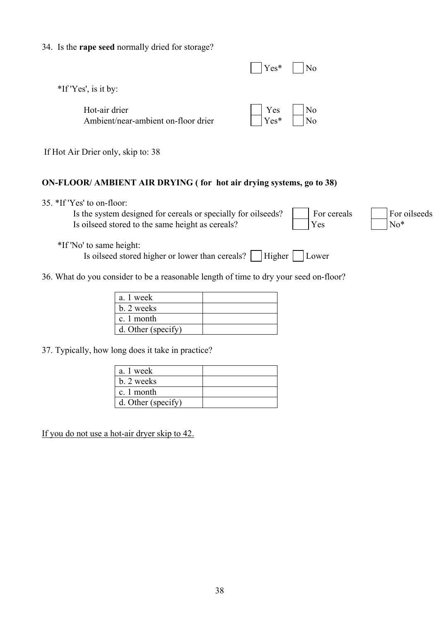# 34. Is the **rape seed** normally dried for storage?

|                                                      | $Yes*$                                                  | N <sub>0</sub> |
|------------------------------------------------------|---------------------------------------------------------|----------------|
| $*$ If 'Yes', is it by:                              |                                                         |                |
| Hot-air drier<br>Ambient/near-ambient on-floor drier | $\begin{array}{c} \text{Yes} \\ \text{Yes} \end{array}$ | N <sub>o</sub> |

If Hot Air Drier only, skip to: 38

# **ON-FLOOR/ AMBIENT AIR DRYING ( for hot air drying systems, go to 38)**

35. \*If 'Yes' to on-floor:

Is the system designed for cereals or specially for oilseeds?  $\Box$  For cereals  $\Box$  For oilseeds Is oilseed stored to the same height as cereals?  $\sqrt{Y}$  Yes  $\sqrt{N_0^*}$ 



\*If 'No' to same height:

Is oilseed stored higher or lower than cereals?  $\Box$  Higher  $\Box$  Lower

36. What do you consider to be a reasonable length of time to dry your seed on-floor?

| a. 1 week          |  |
|--------------------|--|
| b. 2 weeks         |  |
| c. 1 month         |  |
| d. Other (specify) |  |

37. Typically, how long does it take in practice?

| a. 1 week                            |  |
|--------------------------------------|--|
| b. 2 weeks                           |  |
| $\lfloor c_{n+1} \rfloor$ c. 1 month |  |
| d. Other (specify)                   |  |

If you do not use a hot-air dryer skip to 42.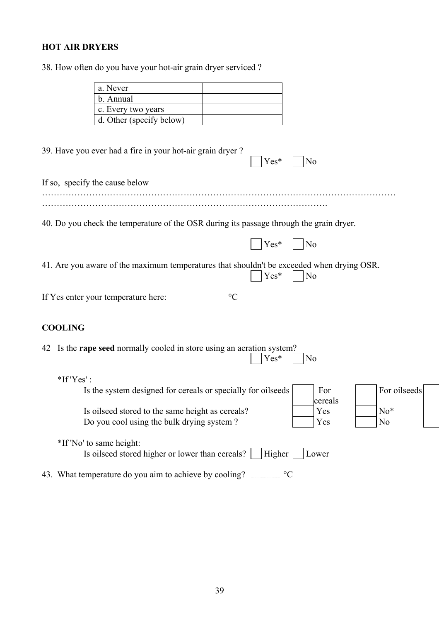# **HOT AIR DRYERS**

38. How often do you have your hot-air grain dryer serviced ?

| a. Never                                                                                                                   |
|----------------------------------------------------------------------------------------------------------------------------|
| b. Annual                                                                                                                  |
| c. Every two years                                                                                                         |
| d. Other (specify below)                                                                                                   |
|                                                                                                                            |
| 39. Have you ever had a fire in your hot-air grain dryer?<br>Yes*<br>No                                                    |
| If so, specify the cause below                                                                                             |
|                                                                                                                            |
| 40. Do you check the temperature of the OSR during its passage through the grain dryer.                                    |
| Yes*<br>N <sub>0</sub>                                                                                                     |
| 41. Are you aware of the maximum temperatures that shouldn't be exceeded when drying OSR.<br>Yes*<br>N <sub>0</sub>        |
| If Yes enter your temperature here:<br>$\rm ^{\circ}C$                                                                     |
| <b>COOLING</b>                                                                                                             |
| Is the <b>rape seed</b> normally cooled in store using an aeration system?<br>42<br>Yes*<br>No                             |
| $*$ If 'Yes' :                                                                                                             |
| For oilseeds<br>Is the system designed for cereals or specially for oilseeds<br>For<br>cereals                             |
| Is oilseed stored to the same height as cereals?<br>Yes<br>$No*$<br>Yes<br>Do you cool using the bulk drying system?<br>No |
|                                                                                                                            |
| *If 'No' to same height:                                                                                                   |
| Is oilseed stored higher or lower than cereals?<br><b>Higher</b><br>Lower                                                  |
| 43. What temperature do you aim to achieve by cooling?<br>$\rm ^{\circ}C$                                                  |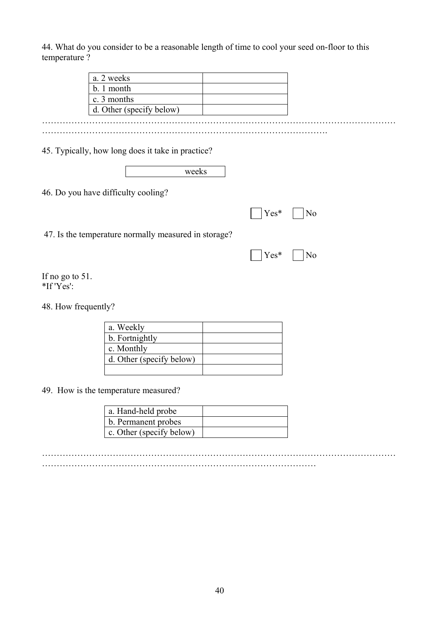44. What do you consider to be a reasonable length of time to cool your seed on-floor to this temperature ?

45. Typically, how long does it take in practice?

| rraabc |
|--------|
|        |

46. Do you have difficulty cooling?

|  | $\bigcap$ Yes* $\bigcap$ No |  |
|--|-----------------------------|--|
|--|-----------------------------|--|

|  | $\bigcap$ Yes* $\bigcap$ No |  |
|--|-----------------------------|--|
|  |                             |  |

If no go to 51. \*If 'Yes':

48. How frequently?

| a. Weekly                |  |
|--------------------------|--|
| b. Fortnightly           |  |
| c. Monthly               |  |
| d. Other (specify below) |  |
|                          |  |

49. How is the temperature measured?

| a. Hand-held probe       |  |
|--------------------------|--|
| b. Permanent probes      |  |
| c. Other (specify below) |  |

………………………………………………………………………………………………………… …………………………………………………………………………………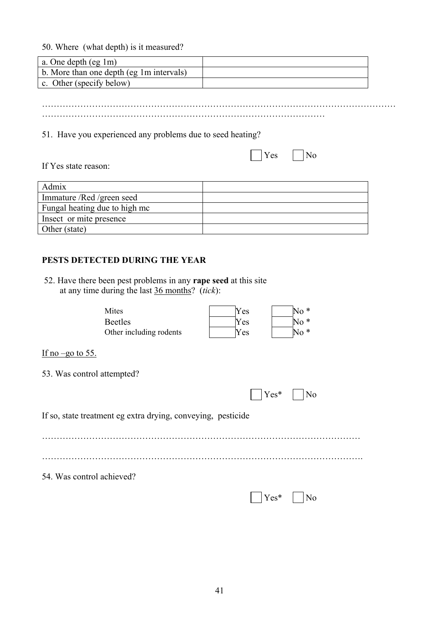50. Where (what depth) is it measured?

| a. One depth $(eg \, 1m)$                |  |
|------------------------------------------|--|
| b. More than one depth (eg 1m intervals) |  |
| c. Other (specify below)                 |  |

………………………………………………………………………………………………………… ……………………………………………………………………………………

51. Have you experienced any problems due to seed heating?

|  |  | $Yes$ No |  |  |
|--|--|----------|--|--|
|--|--|----------|--|--|

If Yes state reason:

| Admix                         |  |
|-------------------------------|--|
| Immature /Red /green seed     |  |
| Fungal heating due to high mc |  |
| Insect or mite presence       |  |
| Other (state)                 |  |

# **PESTS DETECTED DURING THE YEAR**

 52. Have there been pest problems in any **rape seed** at this site at any time during the last 36 months? (*tick*):

| Mites                   |
|-------------------------|
| <b>Beetles</b>          |
| Other including rodents |

| Mites                   | Yes  |  |
|-------------------------|------|--|
| <b>Beetles</b>          | Yes  |  |
| Other including rodents | Yes. |  |

If no  $-$ go to 55.

53. Was control attempted?

|                                                              | $ $ $ $ $Yes*$ $ $ $ $ No |                |
|--------------------------------------------------------------|---------------------------|----------------|
| If so, state treatment eg extra drying, conveying, pesticide |                           |                |
|                                                              |                           |                |
|                                                              |                           |                |
| 54. Was control achieved?                                    |                           |                |
|                                                              | $Yes^*$                   | N <sub>0</sub> |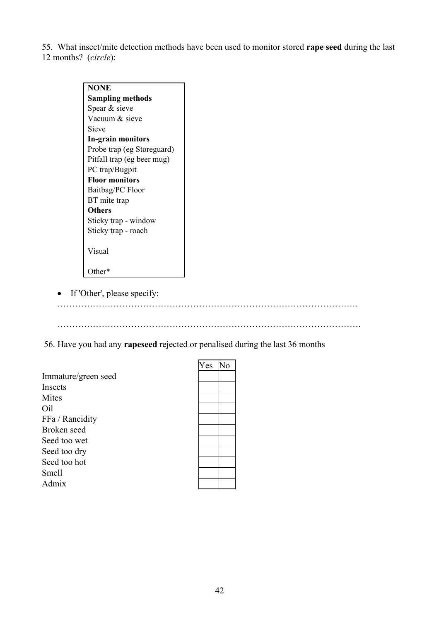55. What insect/mite detection methods have been used to monitor stored **rape seed** during the last 12 months? (*circle*):

| <b>NONE</b>                |
|----------------------------|
| <b>Sampling methods</b>    |
| Spear & sieve              |
| Vacuum & sieve             |
| Sieve                      |
| In-grain monitors          |
| Probe trap (eg Storeguard) |
| Pitfall trap (eg beer mug) |
| PC trap/Bugpit             |
| <b>Floor monitors</b>      |
| Baitbag/PC Floor           |
| BT mite trap               |
| <b>Others</b>              |
| Sticky trap - window       |
| Sticky trap - roach        |
|                            |
| Visual                     |
| Other*)                    |

• If 'Other', please specify:

…………………………………………………………………………………………

………………………………………………………………………………………….

56. Have you had any **rapeseed** rejected or penalised during the last 36 months

|                     | Yes | No |
|---------------------|-----|----|
| Immature/green seed |     |    |
| Insects             |     |    |
| Mites               |     |    |
| Oil                 |     |    |
| FFa / Rancidity     |     |    |
| Broken seed         |     |    |
| Seed too wet        |     |    |
| Seed too dry        |     |    |
| Seed too hot        |     |    |
| Smell               |     |    |
| Admix               |     |    |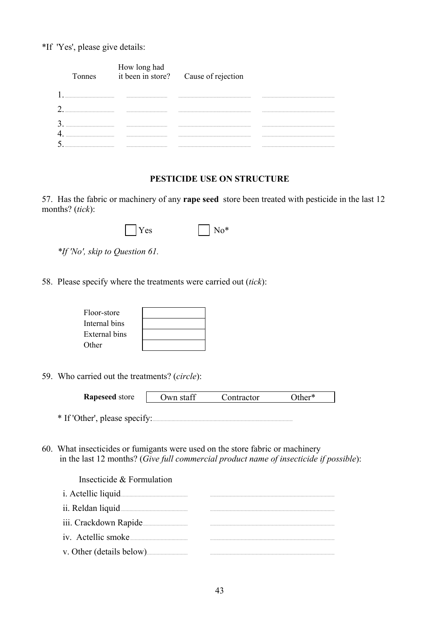\*If 'Yes', please give details:

|  | How long had<br>it been in store? Cause of rejection |  |
|--|------------------------------------------------------|--|
|  |                                                      |  |
|  |                                                      |  |
|  |                                                      |  |
|  |                                                      |  |
|  |                                                      |  |

# PESTICIDE USE ON STRUCTURE

57. Has the fabric or machinery of any rape seed store been treated with pesticide in the last 12 months? (tick):

| Y es | $\rm No^*$ |
|------|------------|
|------|------------|

\*If 'No', skip to Question 61.

58. Please specify where the treatments were carried out (tick):

| Floor-store   |  |
|---------------|--|
| Internal bins |  |
| External bins |  |
| Other         |  |

59. Who carried out the treatments? (circle):

| <b>Rapeseed</b> store         | Own staff | Contractor | )ther* |
|-------------------------------|-----------|------------|--------|
|                               |           |            |        |
| * If 'Other', please specify: |           |            |        |

60. What insecticides or fumigants were used on the store fabric or machinery in the last 12 months? (Give full commercial product name of insecticide if possible):

Insecticide & Formulation

| i. Actellic liquid       |  |
|--------------------------|--|
| ii. Reldan liquid        |  |
| iii. Crackdown Rapide    |  |
| iv. Actellic smoke.      |  |
| v. Other (details below) |  |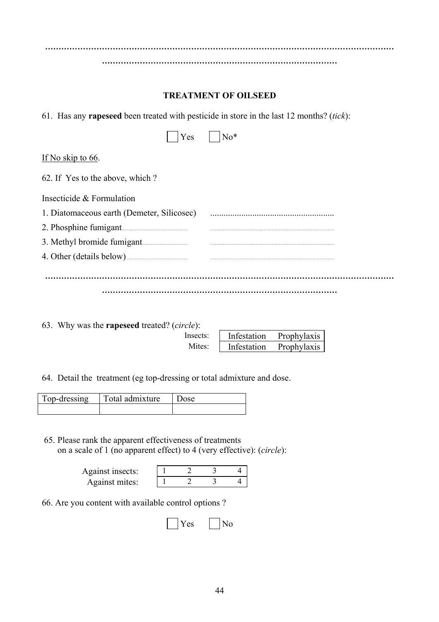**………………………………………………………………………………………………………………… …………………………………………………………………………… TREATMENT OF OILSEED**  61. Has any **rapeseed** been treated with pesticide in store in the last 12 months? (*tick*): Yes No\* If No skip to 66. 62. If Yes to the above, which ? Insecticide & Formulation 1. Diatomaceous earth (Demeter, Silicosec) ........................................................ 2. Phosphine fumigant 3. Methyl bromide fumigant 4. Other (details below)... **………………………………………………………………………………………………………………… ……………………………………………………………………………** 

63. Why was the **rapeseed** treated? (*circle*): Insects: Mites:

| Infestation | Prophylaxis |
|-------------|-------------|
| Infestation | Prophylaxis |

64. Detail the treatment (eg top-dressing or total admixture and dose.

| Top-dressing | Total admixture |  |
|--------------|-----------------|--|
|              |                 |  |

 65. Please rank the apparent effectiveness of treatments on a scale of 1 (no apparent effect) to 4 (very effective): (*circle*):

| Against insects: |  |  |
|------------------|--|--|
| Against mites:   |  |  |

66. Are you content with available control options ?

| $\mathbf{X}$<br>Y es | $\vert$ No |
|----------------------|------------|
|----------------------|------------|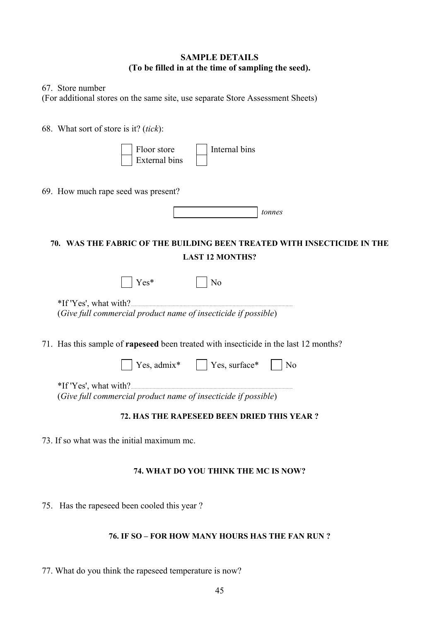# **SAMPLE DETAILS (To be filled in at the time of sampling the seed).**

67. Store number

(For additional stores on the same site, use separate Store Assessment Sheets)

68. What sort of store is it? (*tick*):

|  | Floor store          | Internal bins |
|--|----------------------|---------------|
|  | <b>External bins</b> |               |

69. How much rape seed was present?

|  | tonnes |
|--|--------|

# **70. WAS THE FABRIC OF THE BUILDING BEEN TREATED WITH INSECTICIDE IN THE LAST 12 MONTHS?**

|                          | $Yes*$ | $\vert$ $\vert$ No                                             |  |
|--------------------------|--------|----------------------------------------------------------------|--|
| $*$ If 'Yes', what with? |        |                                                                |  |
|                          |        | (Give full commercial product name of insecticide if possible) |  |

71. Has this sample of **rapeseed** been treated with insecticide in the last 12 months?

|  | $\Box$ Yes, admix* $\Box$ Yes, surface* $\Box$ No |  |
|--|---------------------------------------------------|--|
|  |                                                   |  |

\*If 'Yes', what with?..... (*Give full commercial product name of insecticide if possible*)

# **72. HAS THE RAPESEED BEEN DRIED THIS YEAR ?**

73. If so what was the initial maximum mc.

# **74. WHAT DO YOU THINK THE MC IS NOW?**

75. Has the rapeseed been cooled this year ?

# **76. IF SO – FOR HOW MANY HOURS HAS THE FAN RUN ?**

77. What do you think the rapeseed temperature is now?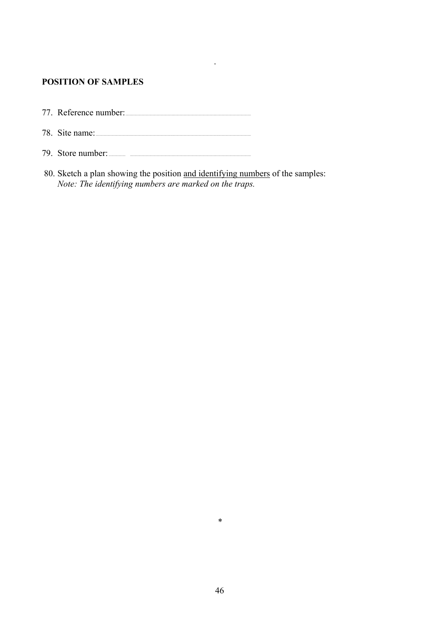# **POSITION OF SAMPLES**

- 77. Reference number:
- 78. Site name:
- 79. Store number: <u>and the state of</u> the state of the state of the state of the state of the state of the state of the state of the state of the state of the state of the state of the state of the state of the state of the
- 80. Sketch a plan showing the position and identifying numbers of the samples:<br>Note: The identifying numbers are marked on the traps.

 $\ddot{\phantom{a}}$ 

 $\ast$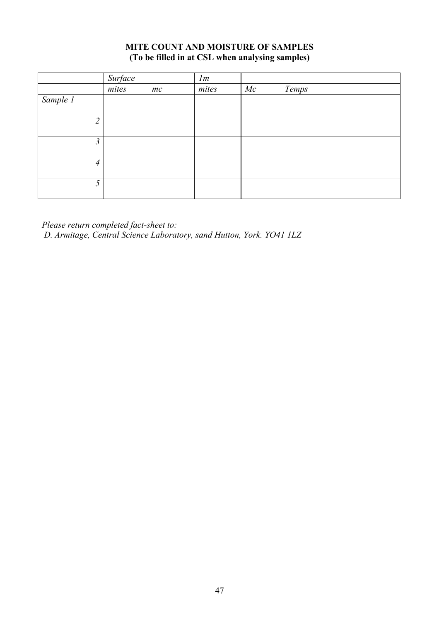# **MITE COUNT AND MOISTURE OF SAMPLES (To be filled in at CSL when analysing samples)**

|                | Surface |    | Im    |    |       |
|----------------|---------|----|-------|----|-------|
|                | mites   | mc | mites | Mc | Temps |
| Sample 1       |         |    |       |    |       |
|                |         |    |       |    |       |
| $\overline{2}$ |         |    |       |    |       |
|                |         |    |       |    |       |
| 3              |         |    |       |    |       |
|                |         |    |       |    |       |
| $\overline{4}$ |         |    |       |    |       |
|                |         |    |       |    |       |
| 5              |         |    |       |    |       |
|                |         |    |       |    |       |

*Please return completed fact-sheet to: D. Armitage, Central Science Laboratory, sand Hutton, York. YO41 1LZ*